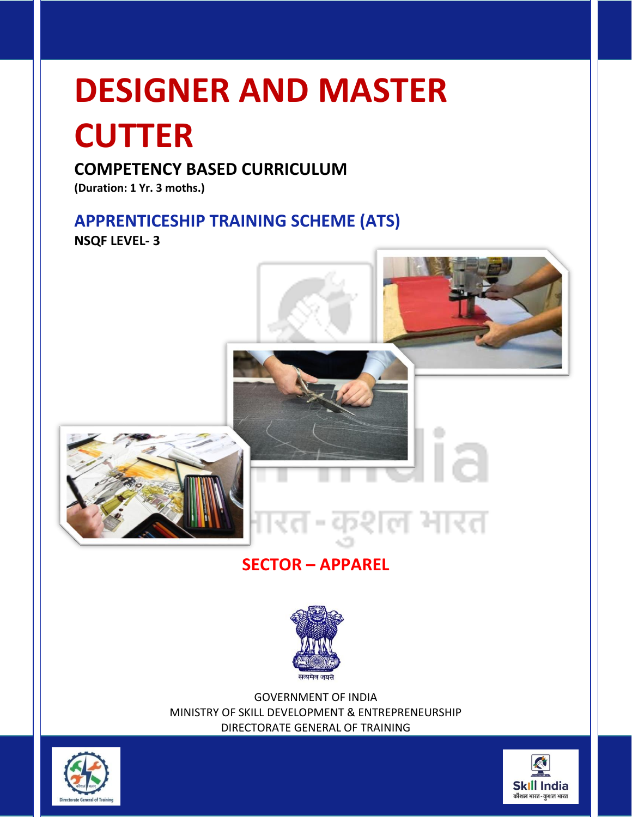## **DESIGNER AND MASTER**

## **CUTTER**

## **COMPETENCY BASED CURRICULUM**

**(Duration: 1 Yr. 3 moths.)**

## **APPRENTICESHIP TRAINING SCHEME (ATS)**

**NSQF LEVEL- 3**



## **SECTOR – APPAREL**



GOVERNMENT OF INDIA MINISTRY OF SKILL DEVELOPMENT & ENTREPRENEURSHIP DIRECTORATE GENERAL OF TRAINING



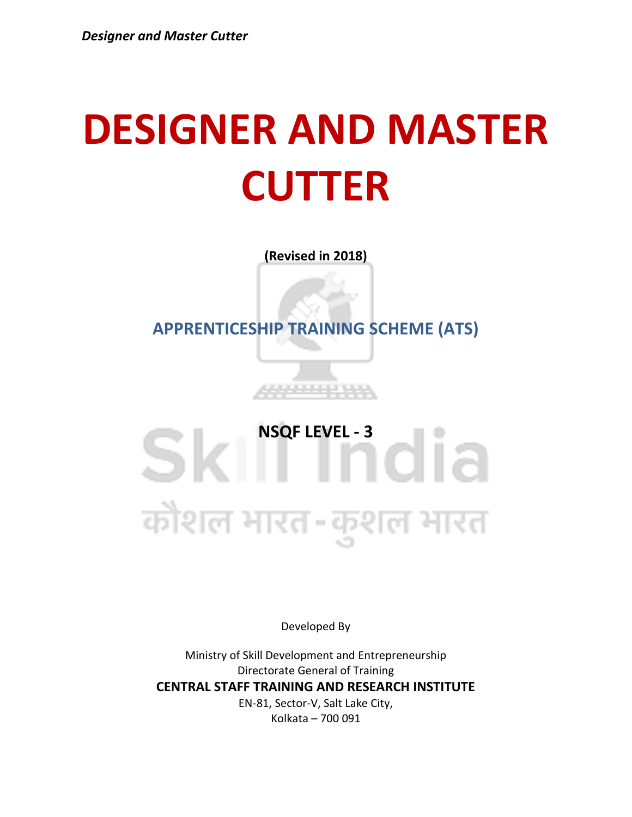## **DESIGNER AND MASTER CUTTER**

**(Revised in 2018)**

**APPRENTICESHIP TRAINING SCHEME (ATS)**

5555555

## Sk<sup>WSQF LEVEL - 3</sup><br>
1016 कोशल भारत-कुशल भारत

Developed By

Ministry of Skill Development and Entrepreneurship Directorate General of Training **CENTRAL STAFF TRAINING AND RESEARCH INSTITUTE** EN-81, Sector-V, Salt Lake City, Kolkata – 700 091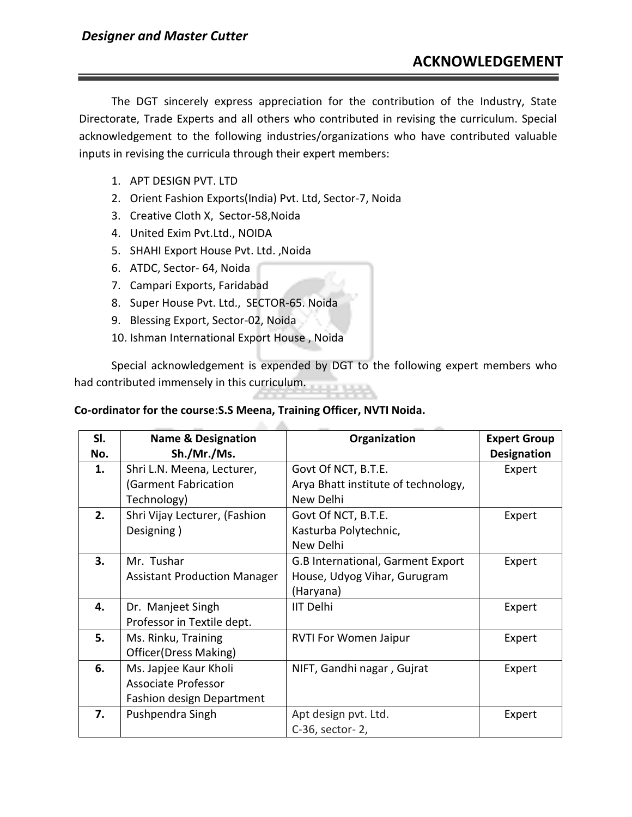The DGT sincerely express appreciation for the contribution of the Industry, State Directorate, Trade Experts and all others who contributed in revising the curriculum. Special acknowledgement to the following industries/organizations who have contributed valuable inputs in revising the curricula through their expert members:

- 1. APT DESIGN PVT. LTD
- 2. Orient Fashion Exports(India) Pvt. Ltd, Sector-7, Noida
- 3. Creative Cloth X, Sector-58,Noida
- 4. United Exim Pvt.Ltd., NOIDA
- 5. SHAHI Export House Pvt. Ltd. ,Noida
- 6. ATDC, Sector- 64, Noida
- 7. Campari Exports, Faridabad
- 8. Super House Pvt. Ltd., SECTOR-65. Noida
- 9. Blessing Export, Sector-02, Noida
- 10. Ishman International Export House , Noida

Special acknowledgement is expended by DGT to the following expert members who had contributed immensely in this curriculum.

#### **Co-ordinator for the course**:**S.S Meena, Training Officer, NVTI Noida.**

| SI. | <b>Name &amp; Designation</b>       | Organization                        | <b>Expert Group</b> |
|-----|-------------------------------------|-------------------------------------|---------------------|
| No. | Sh./Mr./Ms.                         |                                     | <b>Designation</b>  |
| 1.  | Shri L.N. Meena, Lecturer,          | Govt Of NCT, B.T.E.                 | Expert              |
|     | (Garment Fabrication                | Arya Bhatt institute of technology, |                     |
|     | Technology)                         | New Delhi                           |                     |
| 2.  | Shri Vijay Lecturer, (Fashion       | Govt Of NCT, B.T.E.                 | Expert              |
|     | Designing)                          | Kasturba Polytechnic,               |                     |
|     |                                     | New Delhi                           |                     |
| 3.  | Mr. Tushar                          | G.B International, Garment Export   | Expert              |
|     | <b>Assistant Production Manager</b> | House, Udyog Vihar, Gurugram        |                     |
|     |                                     | (Haryana)                           |                     |
| 4.  | Dr. Manjeet Singh                   | <b>IIT Delhi</b>                    | Expert              |
|     | Professor in Textile dept.          |                                     |                     |
| 5.  | Ms. Rinku, Training                 | <b>RVTI For Women Jaipur</b>        | Expert              |
|     | Officer(Dress Making)               |                                     |                     |
| 6.  | Ms. Japjee Kaur Kholi               | NIFT, Gandhi nagar, Gujrat          | Expert              |
|     | <b>Associate Professor</b>          |                                     |                     |
|     | <b>Fashion design Department</b>    |                                     |                     |
| 7.  | Pushpendra Singh                    | Apt design pvt. Ltd.                | Expert              |
|     |                                     | C-36, sector-2,                     |                     |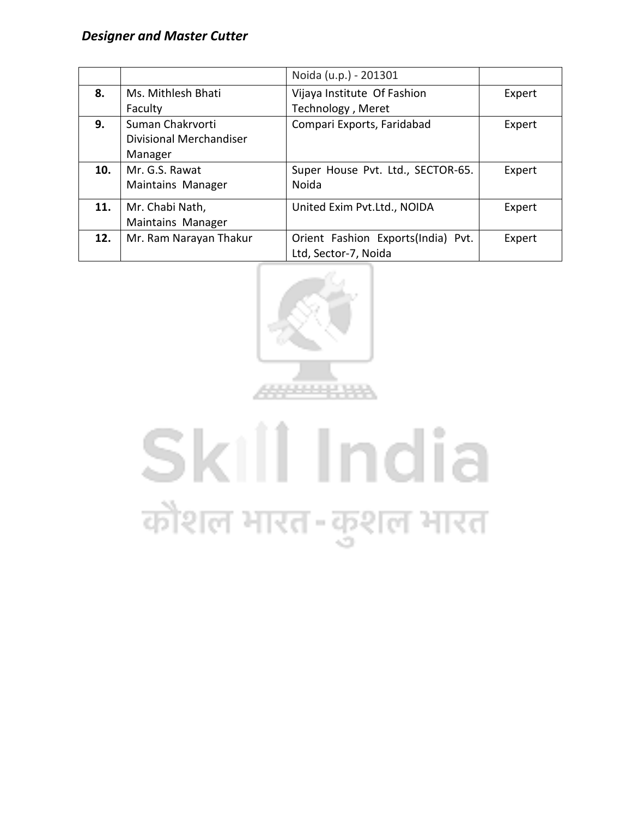|     |                         | Noida (u.p.) - 201301              |        |
|-----|-------------------------|------------------------------------|--------|
| 8.  | Ms. Mithlesh Bhati      | Vijaya Institute Of Fashion        | Expert |
|     | Faculty                 | Technology, Meret                  |        |
| 9.  | Suman Chakrvorti        | Compari Exports, Faridabad         | Expert |
|     | Divisional Merchandiser |                                    |        |
|     | Manager                 |                                    |        |
| 10. | Mr. G.S. Rawat          | Super House Pvt. Ltd., SECTOR-65.  | Expert |
|     | Maintains Manager       | Noida                              |        |
| 11. | Mr. Chabi Nath,         | United Exim Pvt.Ltd., NOIDA        | Expert |
|     | Maintains Manager       |                                    |        |
| 12. | Mr. Ram Narayan Thakur  | Orient Fashion Exports(India) Pvt. | Expert |
|     |                         | Ltd, Sector-7, Noida               |        |



# Skill India कौशल भारत-कुशल भारत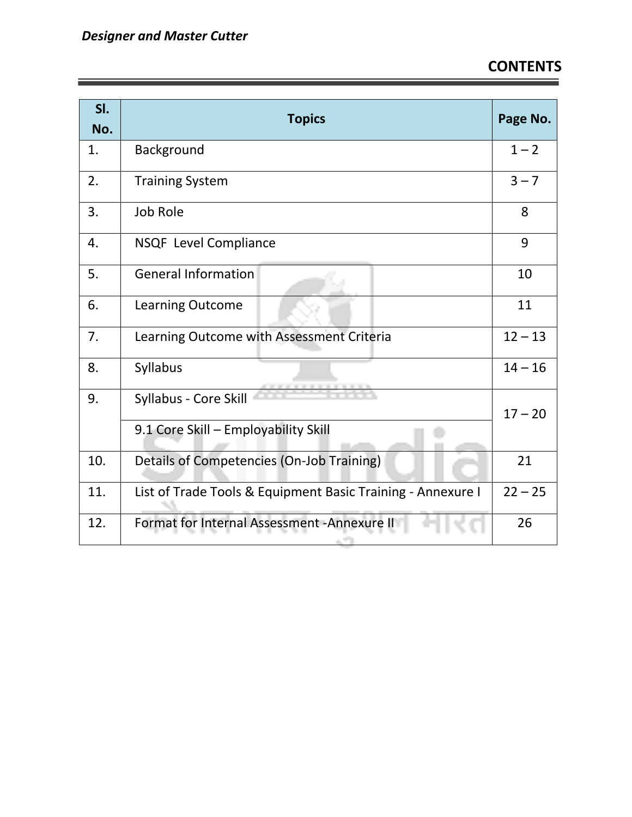| SI.<br>No. | <b>Topics</b>                                                 | Page No.  |
|------------|---------------------------------------------------------------|-----------|
| 1.         | Background                                                    | $1 - 2$   |
| 2.         | <b>Training System</b>                                        | $3 - 7$   |
| 3.         | <b>Job Role</b>                                               | 8         |
| 4.         | NSQF Level Compliance                                         | 9         |
| 5.         | <b>General Information</b>                                    | 10        |
| 6.         | Learning Outcome                                              | 11        |
| 7.         | Learning Outcome with Assessment Criteria                     | $12 - 13$ |
| 8.         | Syllabus                                                      | $14 - 16$ |
| 9.         | Syllabus - Core Skill<br>9.1 Core Skill - Employability Skill | $17 - 20$ |
| 10.        | Details of Competencies (On-Job Training)                     | 21        |
| 11.        | List of Trade Tools & Equipment Basic Training - Annexure I   | $22 - 25$ |
| 12.        | Format for Internal Assessment - Annexure II<br>ALC: UNK      | 26        |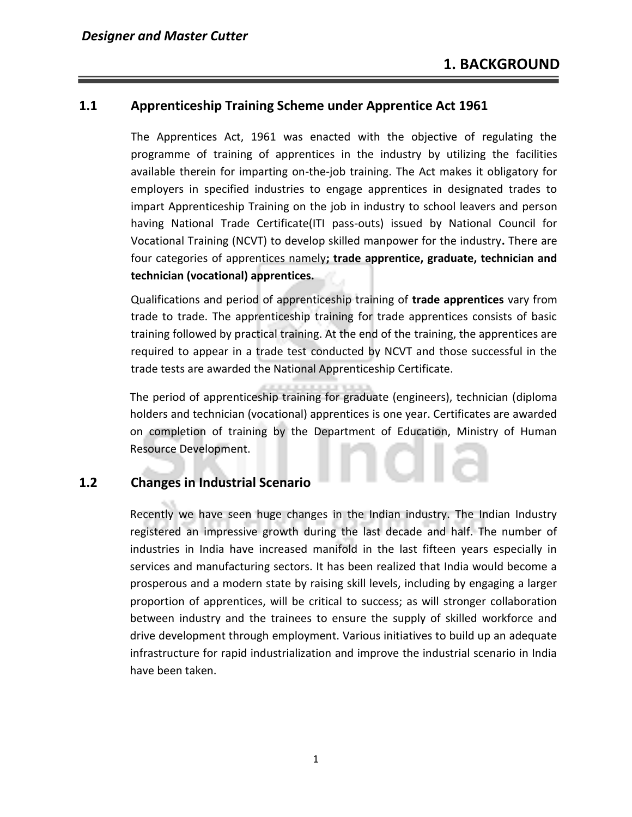## **1.1 Apprenticeship Training Scheme under Apprentice Act 1961**

The Apprentices Act, 1961 was enacted with the objective of regulating the programme of training of apprentices in the industry by utilizing the facilities available therein for imparting on-the-job training. The Act makes it obligatory for employers in specified industries to engage apprentices in designated trades to impart Apprenticeship Training on the job in industry to school leavers and person having National Trade Certificate(ITI pass-outs) issued by National Council for Vocational Training (NCVT) to develop skilled manpower for the industry**.** There are four categories of apprentices namely**; trade apprentice, graduate, technician and technician (vocational) apprentices.** 

Qualifications and period of apprenticeship training of **trade apprentices** vary from trade to trade. The apprenticeship training for trade apprentices consists of basic training followed by practical training. At the end of the training, the apprentices are required to appear in a trade test conducted by NCVT and those successful in the trade tests are awarded the National Apprenticeship Certificate.

The period of apprenticeship training for graduate (engineers), technician (diploma holders and technician (vocational) apprentices is one year. Certificates are awarded on completion of training by the Department of Education, Ministry of Human Resource Development.

## **1.2 Changes in Industrial Scenario**

Recently we have seen huge changes in the Indian industry. The Indian Industry registered an impressive growth during the last decade and half. The number of industries in India have increased manifold in the last fifteen years especially in services and manufacturing sectors. It has been realized that India would become a prosperous and a modern state by raising skill levels, including by engaging a larger proportion of apprentices, will be critical to success; as will stronger collaboration between industry and the trainees to ensure the supply of skilled workforce and drive development through employment. Various initiatives to build up an adequate infrastructure for rapid industrialization and improve the industrial scenario in India have been taken.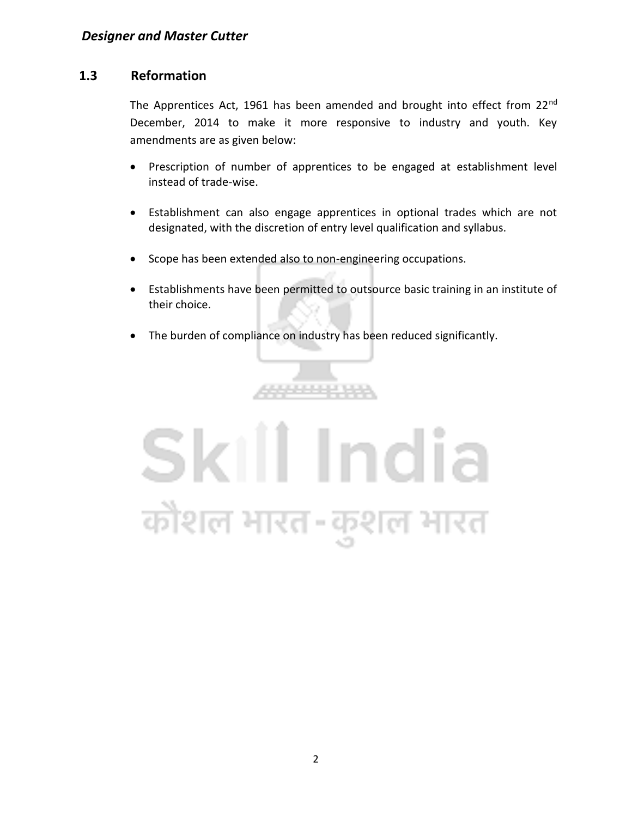## **1.3 Reformation**

The Apprentices Act, 1961 has been amended and brought into effect from 22<sup>nd</sup> December, 2014 to make it more responsive to industry and youth. Key amendments are as given below:

- Prescription of number of apprentices to be engaged at establishment level instead of trade-wise.
- Establishment can also engage apprentices in optional trades which are not designated, with the discretion of entry level qualification and syllabus.
- Scope has been extended also to non-engineering occupations.
- Establishments have been permitted to outsource basic training in an institute of their choice.
- The burden of compliance on industry has been reduced significantly.

\*\*\*\*\*\*\*\*\*

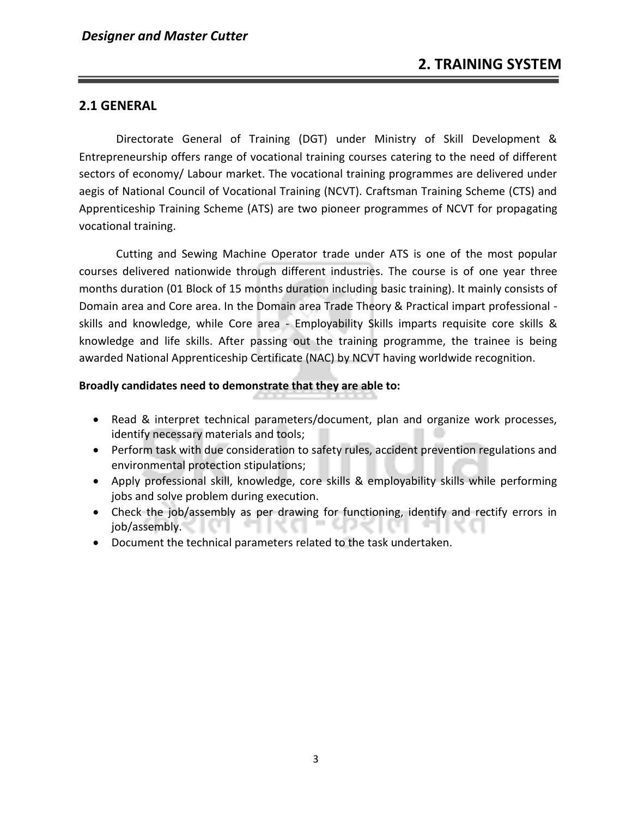## **2.1 GENERAL**

Directorate General of Training (DGT) under Ministry of Skill Development & Entrepreneurship offers range of vocational training courses catering to the need of different sectors of economy/ Labour market. The vocational training programmes are delivered under aegis of National Council of Vocational Training (NCVT). Craftsman Training Scheme (CTS) and Apprenticeship Training Scheme (ATS) are two pioneer programmes of NCVT for propagating vocational training.

Cutting and Sewing Machine Operator trade under ATS is one of the most popular courses delivered nationwide through different industries. The course is of one year three months duration (01 Block of 15 months duration including basic training). It mainly consists of Domain area and Core area. In the Domain area Trade Theory & Practical impart professional skills and knowledge, while Core area - Employability Skills imparts requisite core skills & knowledge and life skills. After passing out the training programme, the trainee is being awarded National Apprenticeship Certificate (NAC) by NCVT having worldwide recognition.

### **Broadly candidates need to demonstrate that they are able to:**

- Read & interpret technical parameters/document, plan and organize work processes, identify necessary materials and tools;
- Perform task with due consideration to safety rules, accident prevention regulations and environmental protection stipulations;
- Apply professional skill, knowledge, core skills & employability skills while performing jobs and solve problem during execution.
- Check the job/assembly as per drawing for functioning, identify and rectify errors in job/assembly.
- Document the technical parameters related to the task undertaken.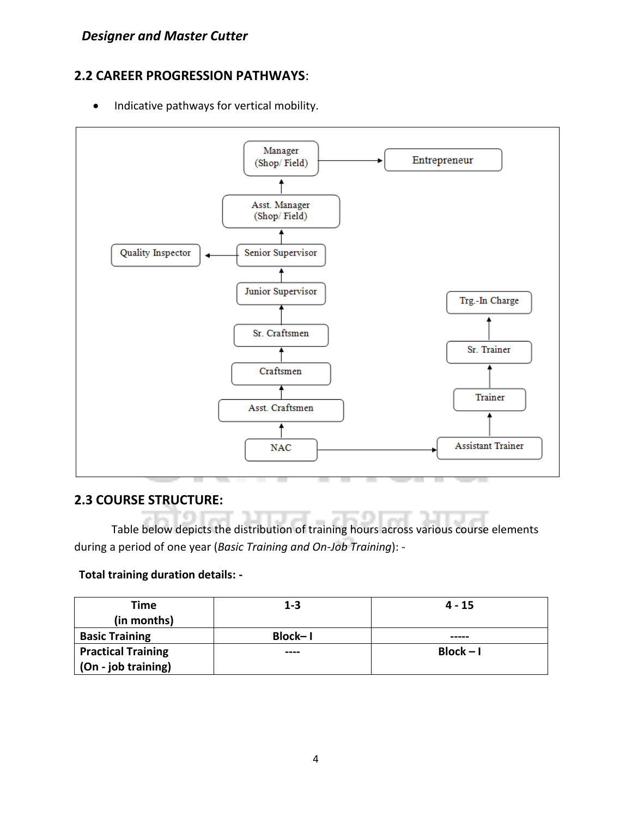## **2.2 CAREER PROGRESSION PATHWAYS**:

• Indicative pathways for vertical mobility.



## **2.3 COURSE STRUCTURE:**

Table below depicts the distribution of training hours across various course elements during a period of one year (*Basic Training and On-Job Training*): -

## **Total training duration details: -**

| Time<br>(in months)       | $1 - 3$ | $4 - 15$    |
|---------------------------|---------|-------------|
| <b>Basic Training</b>     | Block-1 | -----       |
| <b>Practical Training</b> | ----    | $Block - I$ |
| (On - job training)       |         |             |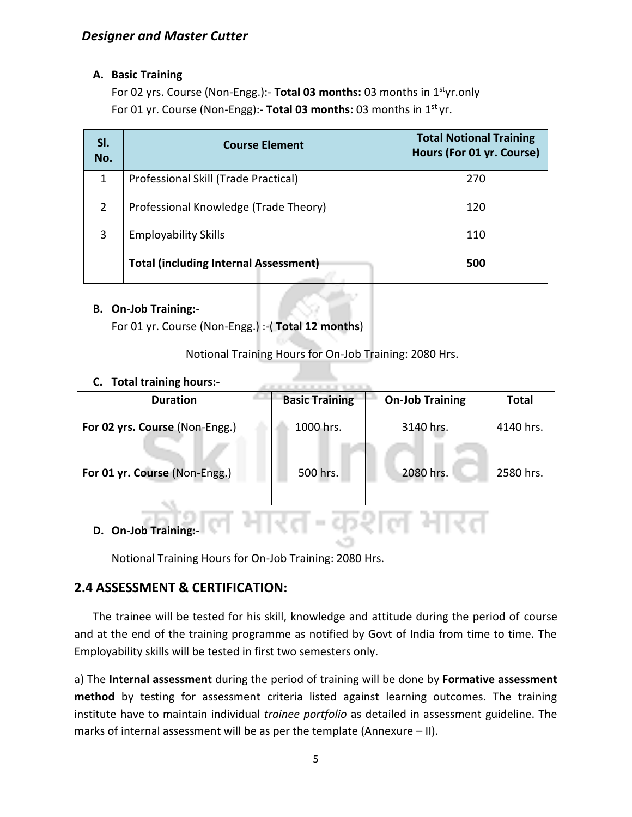## **A. Basic Training**

For 02 yrs. Course (Non-Engg.):- **Total 03 months:** 03 months in 1styr.only For 01 yr. Course (Non-Engg):- **Total 03 months:** 03 months in 1st yr.

| SI.<br>No.    | <b>Course Element</b>                        | <b>Total Notional Training</b><br>Hours (For 01 yr. Course) |
|---------------|----------------------------------------------|-------------------------------------------------------------|
| 1             | Professional Skill (Trade Practical)         | 270                                                         |
| $\mathcal{P}$ | Professional Knowledge (Trade Theory)        | 120                                                         |
| 3             | <b>Employability Skills</b>                  | 110                                                         |
|               | <b>Total (including Internal Assessment)</b> | 500                                                         |

### **B. On-Job Training:-**

For 01 yr. Course (Non-Engg.) :-( **Total 12 months**)

Notional Training Hours for On-Job Training: 2080 Hrs.

### **C. Total training hours:-**

| <b>Duration</b>                | <b>Basic Training</b> | <b>On-Job Training</b> | <b>Total</b> |
|--------------------------------|-----------------------|------------------------|--------------|
| For 02 yrs. Course (Non-Engg.) | 1000 hrs.             | 3140 hrs.              | 4140 hrs.    |
| For 01 yr. Course (Non-Engg.)  | 500 hrs.              | 2080 hrs.              | 2580 hrs.    |

ारत-कशल भारत

## **D. On-Job Training:-**

Notional Training Hours for On-Job Training: 2080 Hrs.

## **2.4 ASSESSMENT & CERTIFICATION:**

The trainee will be tested for his skill, knowledge and attitude during the period of course and at the end of the training programme as notified by Govt of India from time to time. The Employability skills will be tested in first two semesters only.

a) The **Internal assessment** during the period of training will be done by **Formative assessment method** by testing for assessment criteria listed against learning outcomes. The training institute have to maintain individual *trainee portfolio* as detailed in assessment guideline. The marks of internal assessment will be as per the template (Annexure – II).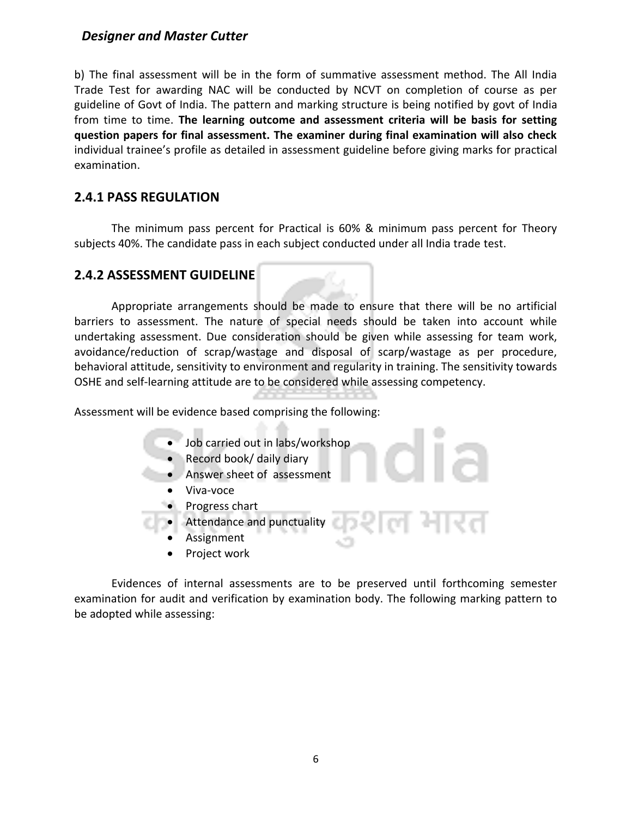b) The final assessment will be in the form of summative assessment method. The All India Trade Test for awarding NAC will be conducted by NCVT on completion of course as per guideline of Govt of India. The pattern and marking structure is being notified by govt of India from time to time. **The learning outcome and assessment criteria will be basis for setting question papers for final assessment. The examiner during final examination will also check**  individual trainee's profile as detailed in assessment guideline before giving marks for practical examination.

## **2.4.1 PASS REGULATION**

The minimum pass percent for Practical is 60% & minimum pass percent for Theory subjects 40%. The candidate pass in each subject conducted under all India trade test.

### **2.4.2 ASSESSMENT GUIDELINE**

Appropriate arrangements should be made to ensure that there will be no artificial barriers to assessment. The nature of special needs should be taken into account while undertaking assessment. Due consideration should be given while assessing for team work, avoidance/reduction of scrap/wastage and disposal of scarp/wastage as per procedure, behavioral attitude, sensitivity to environment and regularity in training. The sensitivity towards OSHE and self-learning attitude are to be considered while assessing competency.

Assessment will be evidence based comprising the following:

- Job carried out in labs/workshop
- Record book/ daily diary
- Answer sheet of assessment
- Viva-voce
- Progress chart
- Attendance and punctuality
	- **Assignment**
	- Project work

Evidences of internal assessments are to be preserved until forthcoming semester examination for audit and verification by examination body. The following marking pattern to be adopted while assessing: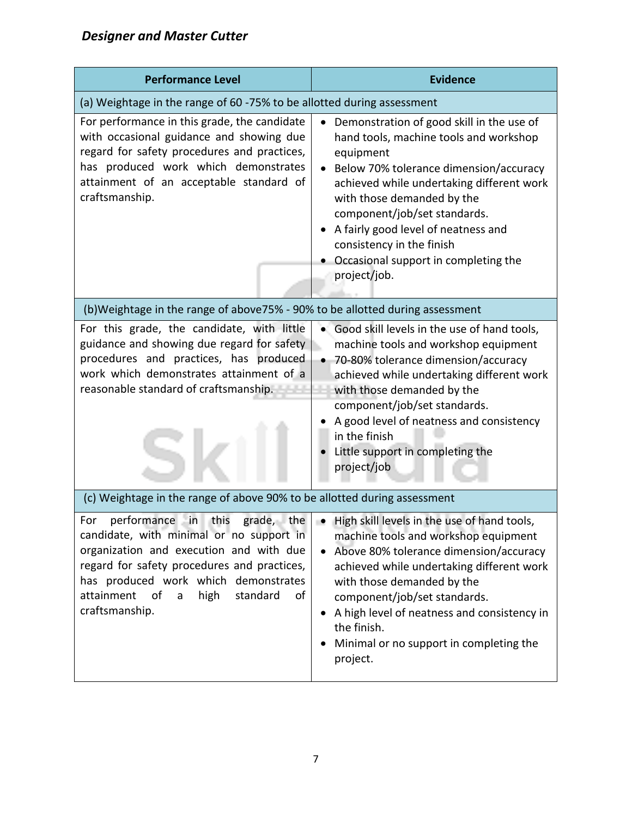| <b>Performance Level</b>                                                                                                                                                                                                                                                                 | <b>Evidence</b>                                                                                                                                                                                                                                                                                                                                                                                               |
|------------------------------------------------------------------------------------------------------------------------------------------------------------------------------------------------------------------------------------------------------------------------------------------|---------------------------------------------------------------------------------------------------------------------------------------------------------------------------------------------------------------------------------------------------------------------------------------------------------------------------------------------------------------------------------------------------------------|
| (a) Weightage in the range of 60 -75% to be allotted during assessment                                                                                                                                                                                                                   |                                                                                                                                                                                                                                                                                                                                                                                                               |
| For performance in this grade, the candidate<br>with occasional guidance and showing due<br>regard for safety procedures and practices,<br>has produced work which demonstrates<br>attainment of an acceptable standard of<br>craftsmanship.                                             | Demonstration of good skill in the use of<br>$\bullet$<br>hand tools, machine tools and workshop<br>equipment<br>Below 70% tolerance dimension/accuracy<br>achieved while undertaking different work<br>with those demanded by the<br>component/job/set standards.<br>A fairly good level of neatness and<br>consistency in the finish<br>Occasional support in completing the<br>project/job.                |
| (b)Weightage in the range of above75% - 90% to be allotted during assessment                                                                                                                                                                                                             |                                                                                                                                                                                                                                                                                                                                                                                                               |
| For this grade, the candidate, with little<br>guidance and showing due regard for safety<br>procedures and practices, has produced<br>work which demonstrates attainment of a<br>reasonable standard of craftsmanship.                                                                   | • Good skill levels in the use of hand tools,<br>machine tools and workshop equipment<br>70-80% tolerance dimension/accuracy<br>achieved while undertaking different work<br>with those demanded by the<br>component/job/set standards.<br>A good level of neatness and consistency<br>in the finish<br>Little support in completing the<br>project/job                                                       |
| (c) Weightage in the range of above 90% to be allotted during assessment                                                                                                                                                                                                                 |                                                                                                                                                                                                                                                                                                                                                                                                               |
| performance in this<br>For<br>candidate, with minimal or no support in<br>organization and execution and with due<br>regard for safety procedures and practices,<br>has produced work which demonstrates<br>attainment<br>of<br>high<br>standard<br>$\mathsf{a}$<br>of<br>craftsmanship. | grade, the $\vert \bullet \vert$ High skill levels in the use of hand tools,<br>machine tools and workshop equipment<br>Above 80% tolerance dimension/accuracy<br>$\bullet$<br>achieved while undertaking different work<br>with those demanded by the<br>component/job/set standards.<br>• A high level of neatness and consistency in<br>the finish.<br>Minimal or no support in completing the<br>project. |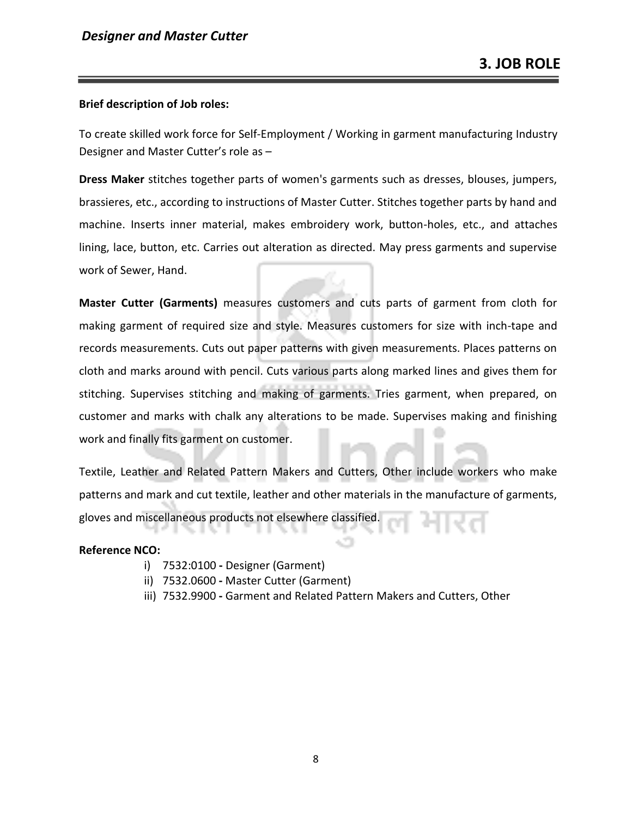#### **Brief description of Job roles:**

To create skilled work force for Self-Employment / Working in garment manufacturing Industry Designer and Master Cutter's role as –

**Dress Maker** stitches together parts of women's garments such as dresses, blouses, jumpers, brassieres, etc., according to instructions of Master Cutter. Stitches together parts by hand and machine. Inserts inner material, makes embroidery work, button-holes, etc., and attaches lining, lace, button, etc. Carries out alteration as directed. May press garments and supervise work of Sewer, Hand.

**Master Cutter (Garments)** measures customers and cuts parts of garment from cloth for making garment of required size and style. Measures customers for size with inch-tape and records measurements. Cuts out paper patterns with given measurements. Places patterns on cloth and marks around with pencil. Cuts various parts along marked lines and gives them for stitching. Supervises stitching and making of garments. Tries garment, when prepared, on customer and marks with chalk any alterations to be made. Supervises making and finishing work and finally fits garment on customer.

Textile, Leather and Related Pattern Makers and Cutters, Other include workers who make patterns and mark and cut textile, leather and other materials in the manufacture of garments, gloves and miscellaneous products not elsewhere classified.

#### **Reference NCO:**

- i) 7532:0100 **-** Designer (Garment)
- ii) 7532.0600 **-** Master Cutter (Garment)
- iii) 7532.9900 **-** Garment and Related Pattern Makers and Cutters, Other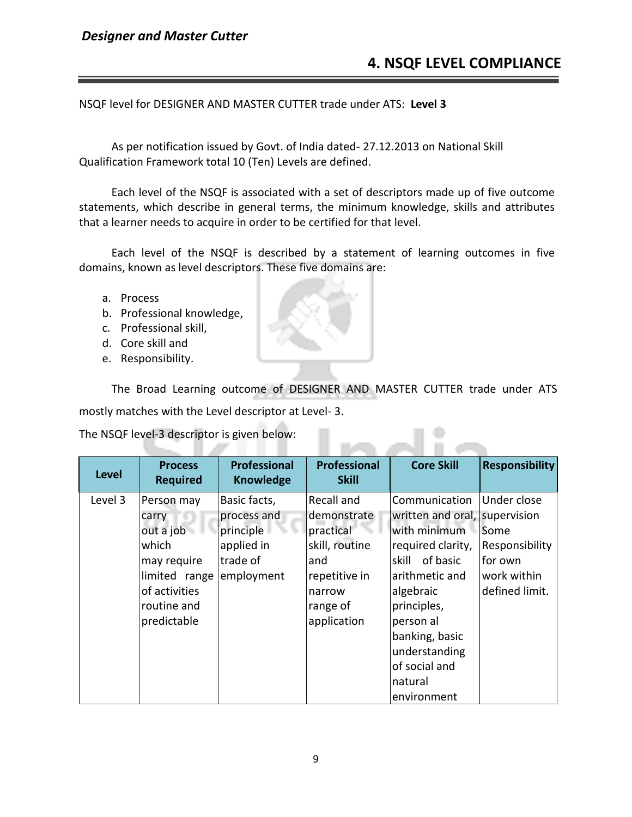NSQF level for DESIGNER AND MASTER CUTTER trade under ATS: **Level 3**

As per notification issued by Govt. of India dated- 27.12.2013 on National Skill Qualification Framework total 10 (Ten) Levels are defined.

Each level of the NSQF is associated with a set of descriptors made up of five outcome statements, which describe in general terms, the minimum knowledge, skills and attributes that a learner needs to acquire in order to be certified for that level.

Each level of the NSQF is described by a statement of learning outcomes in five domains, known as level descriptors. These five domains are:

- a. Process
- b. Professional knowledge,
- c. Professional skill,
- d. Core skill and
- e. Responsibility.

The Broad Learning outcome of DESIGNER AND MASTER CUTTER trade under ATS mostly matches with the Level descriptor at Level- 3.

The NSQF level-3 descriptor is given below:

| <b>Level</b> | <b>Process</b><br><b>Required</b>                                                                                        | <b>Professional</b><br><b>Knowledge</b>                                          | <b>Professional</b><br><b>Skill</b>                                                                                   | <b>Core Skill</b>                                                                                                                                                                                                               | <b>Responsibility</b>                                                             |
|--------------|--------------------------------------------------------------------------------------------------------------------------|----------------------------------------------------------------------------------|-----------------------------------------------------------------------------------------------------------------------|---------------------------------------------------------------------------------------------------------------------------------------------------------------------------------------------------------------------------------|-----------------------------------------------------------------------------------|
| Level 3      | Person may<br>carry<br>out a job<br>which<br>may require<br>limited range<br>of activities<br>routine and<br>predictable | Basic facts,<br>process and<br>principle<br>applied in<br>trade of<br>employment | Recall and<br>demonstrate<br>practical<br>skill, routine<br>and<br>repetitive in<br>narrow<br>range of<br>application | Communication<br>written and oral, supervision<br>with minimum<br>required clarity,<br>skill of basic<br>arithmetic and<br>algebraic<br>principles,<br>person al<br>banking, basic<br>understanding<br>of social and<br>natural | Under close<br>Some<br>Responsibility<br>for own<br>work within<br>defined limit. |
|              |                                                                                                                          |                                                                                  |                                                                                                                       | environment                                                                                                                                                                                                                     |                                                                                   |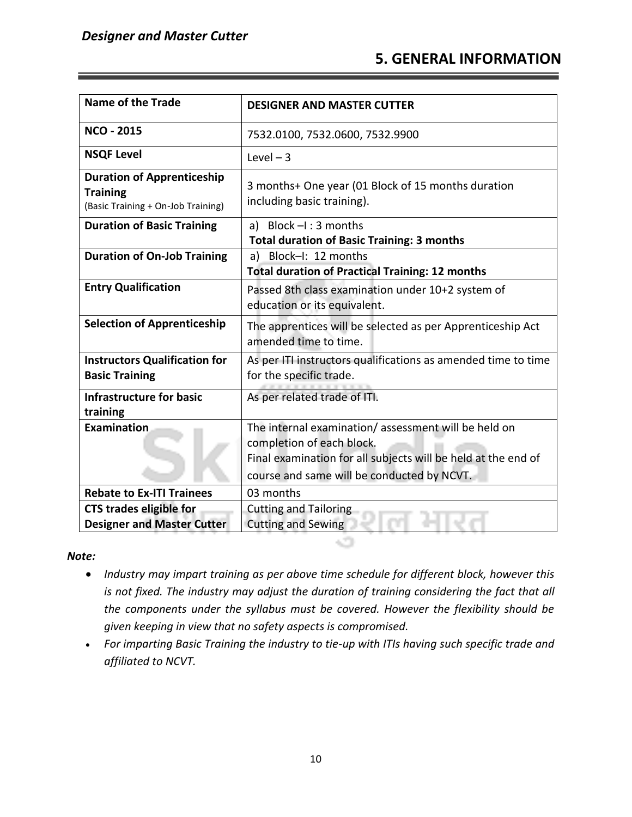## **5. GENERAL INFORMATION**

| <b>Name of the Trade</b>                                                                   | <b>DESIGNER AND MASTER CUTTER</b>                                                                                                                                                               |
|--------------------------------------------------------------------------------------------|-------------------------------------------------------------------------------------------------------------------------------------------------------------------------------------------------|
| <b>NCO - 2015</b>                                                                          | 7532.0100, 7532.0600, 7532.9900                                                                                                                                                                 |
| <b>NSQF Level</b>                                                                          | Level $-3$                                                                                                                                                                                      |
| <b>Duration of Apprenticeship</b><br><b>Training</b><br>(Basic Training + On-Job Training) | 3 months+ One year (01 Block of 15 months duration<br>including basic training).                                                                                                                |
| <b>Duration of Basic Training</b>                                                          | a) Block $-I$ : 3 months<br><b>Total duration of Basic Training: 3 months</b>                                                                                                                   |
| <b>Duration of On-Job Training</b>                                                         | a) Block-I: 12 months<br><b>Total duration of Practical Training: 12 months</b>                                                                                                                 |
| <b>Entry Qualification</b>                                                                 | Passed 8th class examination under 10+2 system of<br>education or its equivalent.                                                                                                               |
| <b>Selection of Apprenticeship</b>                                                         | The apprentices will be selected as per Apprenticeship Act<br>amended time to time.                                                                                                             |
| <b>Instructors Qualification for</b><br><b>Basic Training</b>                              | As per ITI instructors qualifications as amended time to time<br>for the specific trade.                                                                                                        |
| <b>Infrastructure for basic</b><br>training                                                | As per related trade of ITI.                                                                                                                                                                    |
| <b>Examination</b>                                                                         | The internal examination/assessment will be held on<br>completion of each block.<br>Final examination for all subjects will be held at the end of<br>course and same will be conducted by NCVT. |
| <b>Rebate to Ex-ITI Trainees</b>                                                           | 03 months                                                                                                                                                                                       |
| <b>CTS trades eligible for</b><br><b>Designer and Master Cutter</b>                        | <b>Cutting and Tailoring</b><br><b>Cutting and Sewing</b>                                                                                                                                       |

#### *Note:*

• *Industry may impart training as per above time schedule for different block, however this is not fixed. The industry may adjust the duration of training considering the fact that all the components under the syllabus must be covered. However the flexibility should be given keeping in view that no safety aspects is compromised.*

cт

• *For imparting Basic Training the industry to tie-up with ITIs having such specific trade and affiliated to NCVT.*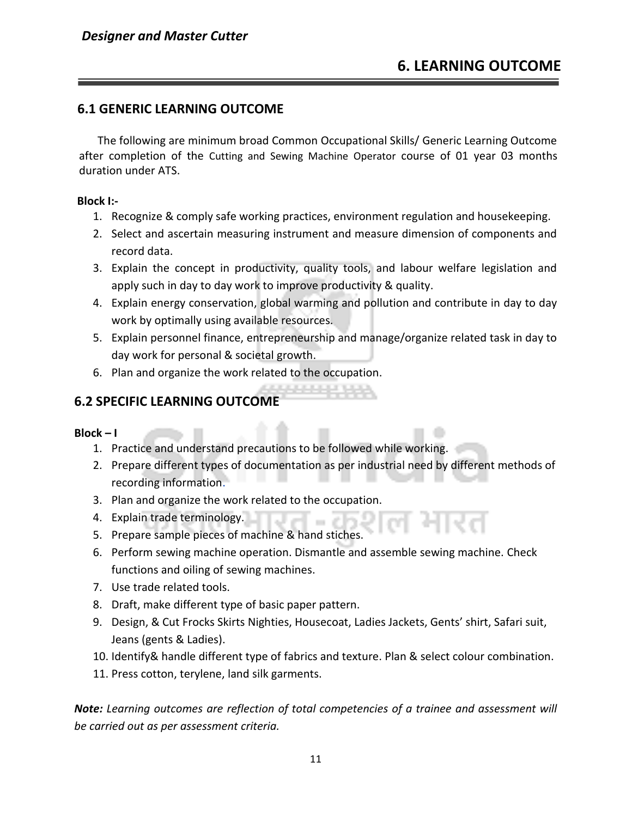## **6.1 GENERIC LEARNING OUTCOME**

The following are minimum broad Common Occupational Skills/ Generic Learning Outcome after completion of the Cutting and Sewing Machine Operator course of 01 year 03 months duration under ATS.

#### **Block I:-**

- 1. Recognize & comply safe working practices, environment regulation and housekeeping.
- 2. Select and ascertain measuring instrument and measure dimension of components and record data.
- 3. Explain the concept in productivity, quality tools, and labour welfare legislation and apply such in day to day work to improve productivity & quality.
- 4. Explain energy conservation, global warming and pollution and contribute in day to day work by optimally using available resources.
- 5. Explain personnel finance, entrepreneurship and manage/organize related task in day to day work for personal & societal growth.
- 6. Plan and organize the work related to the occupation.

## **6.2 SPECIFIC LEARNING OUTCOME**

### $Block - I$

- 1. Practice and understand precautions to be followed while working.
- 2. Prepare different types of documentation as per industrial need by different methods of recording information.
- 3. Plan and organize the work related to the occupation.
- 4. Explain trade terminology.
- 5. Prepare sample pieces of machine & hand stiches.
- 6. Perform sewing machine operation. Dismantle and assemble sewing machine. Check functions and oiling of sewing machines.
- 7. Use trade related tools.
- 8. Draft, make different type of basic paper pattern.
- 9. Design, & Cut Frocks Skirts Nighties, Housecoat, Ladies Jackets, Gents' shirt, Safari suit, Jeans (gents & Ladies).
- 10. Identify& handle different type of fabrics and texture. Plan & select colour combination.
- 11. Press cotton, terylene, land silk garments.

*Note: Learning outcomes are reflection of total competencies of a trainee and assessment will be carried out as per assessment criteria.*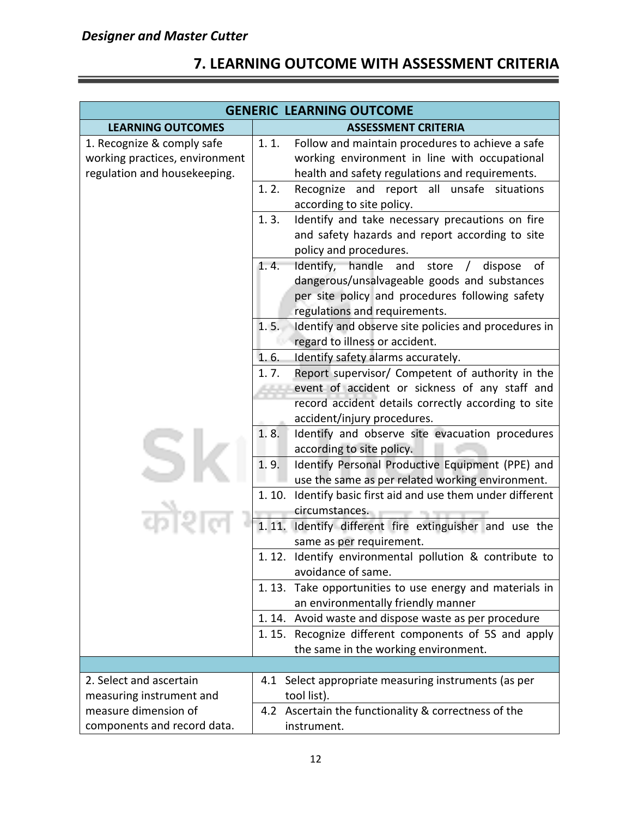## **7. LEARNING OUTCOME WITH ASSESSMENT CRITERIA**

|                                                                                              | <b>GENERIC LEARNING OUTCOME</b>                                                                                                                                                                                                                                                                                                                                                                                                                                                                                                                                                                                                                                                                                                                                                                                                                                                                                                                                                                                                                                                                                                                                                                                                                                                                                                                                                                                                                                                           |  |  |
|----------------------------------------------------------------------------------------------|-------------------------------------------------------------------------------------------------------------------------------------------------------------------------------------------------------------------------------------------------------------------------------------------------------------------------------------------------------------------------------------------------------------------------------------------------------------------------------------------------------------------------------------------------------------------------------------------------------------------------------------------------------------------------------------------------------------------------------------------------------------------------------------------------------------------------------------------------------------------------------------------------------------------------------------------------------------------------------------------------------------------------------------------------------------------------------------------------------------------------------------------------------------------------------------------------------------------------------------------------------------------------------------------------------------------------------------------------------------------------------------------------------------------------------------------------------------------------------------------|--|--|
| <b>LEARNING OUTCOMES</b>                                                                     | <b>ASSESSMENT CRITERIA</b>                                                                                                                                                                                                                                                                                                                                                                                                                                                                                                                                                                                                                                                                                                                                                                                                                                                                                                                                                                                                                                                                                                                                                                                                                                                                                                                                                                                                                                                                |  |  |
| 1. Recognize & comply safe<br>working practices, environment<br>regulation and housekeeping. | 1.1.<br>Follow and maintain procedures to achieve a safe<br>working environment in line with occupational<br>health and safety regulations and requirements.                                                                                                                                                                                                                                                                                                                                                                                                                                                                                                                                                                                                                                                                                                                                                                                                                                                                                                                                                                                                                                                                                                                                                                                                                                                                                                                              |  |  |
|                                                                                              | 1.2.<br>Recognize and report all<br>unsafe<br>situations<br>according to site policy.<br>Identify and take necessary precautions on fire<br>1.3.<br>and safety hazards and report according to site<br>policy and procedures.<br>Identify, handle and<br>1.4.<br>store<br>of<br>dispose<br>$\sqrt{2}$<br>dangerous/unsalvageable goods and substances<br>per site policy and procedures following safety<br>regulations and requirements.<br>Identify and observe site policies and procedures in<br>1.5.<br>regard to illness or accident.<br>1.6.<br>Identify safety alarms accurately.<br>Report supervisor/ Competent of authority in the<br>1.7.<br>event of accident or sickness of any staff and<br>record accident details correctly according to site<br>accident/injury procedures.<br>1.8.<br>Identify and observe site evacuation procedures<br>according to site policy.<br>1.9.<br>Identify Personal Productive Equipment (PPE) and<br>use the same as per related working environment.<br>Identify basic first aid and use them under different<br>1.10.<br>circumstances.<br>1.11.<br>Identify different fire extinguisher and use the<br>same as per requirement.<br>1.12.<br>Identify environmental pollution & contribute to<br>avoidance of same.<br>1.13. Take opportunities to use energy and materials in<br>an environmentally friendly manner<br>1.14. Avoid waste and dispose waste as per procedure<br>Recognize different components of 5S and apply<br>1.15. |  |  |
|                                                                                              | the same in the working environment.                                                                                                                                                                                                                                                                                                                                                                                                                                                                                                                                                                                                                                                                                                                                                                                                                                                                                                                                                                                                                                                                                                                                                                                                                                                                                                                                                                                                                                                      |  |  |
|                                                                                              |                                                                                                                                                                                                                                                                                                                                                                                                                                                                                                                                                                                                                                                                                                                                                                                                                                                                                                                                                                                                                                                                                                                                                                                                                                                                                                                                                                                                                                                                                           |  |  |
| 2. Select and ascertain<br>measuring instrument and                                          | 4.1 Select appropriate measuring instruments (as per<br>tool list).                                                                                                                                                                                                                                                                                                                                                                                                                                                                                                                                                                                                                                                                                                                                                                                                                                                                                                                                                                                                                                                                                                                                                                                                                                                                                                                                                                                                                       |  |  |
| measure dimension of<br>components and record data.                                          | 4.2 Ascertain the functionality & correctness of the<br>instrument.                                                                                                                                                                                                                                                                                                                                                                                                                                                                                                                                                                                                                                                                                                                                                                                                                                                                                                                                                                                                                                                                                                                                                                                                                                                                                                                                                                                                                       |  |  |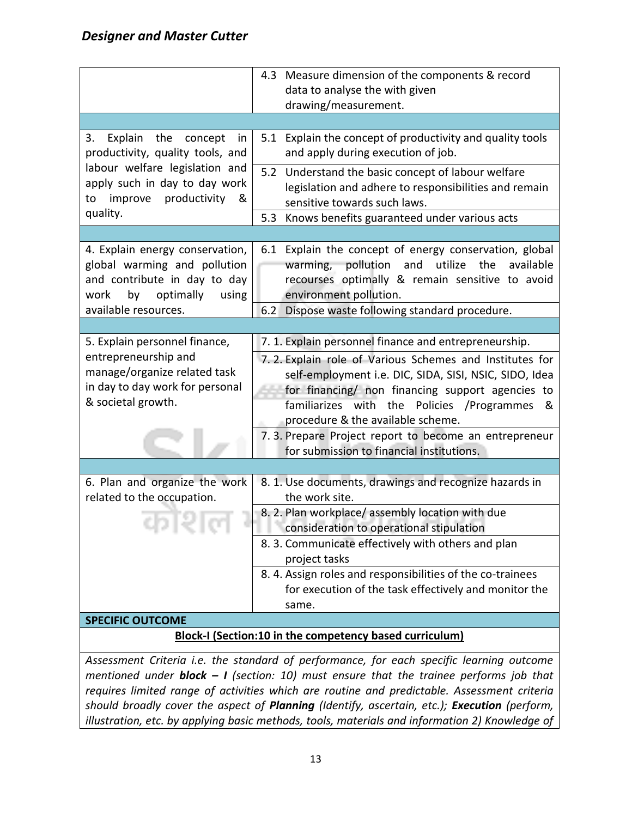|                                                                                                                                                | 4.3 Measure dimension of the components & record<br>data to analyse the with given<br>drawing/measurement.                                                                                                                                                                                                              |  |
|------------------------------------------------------------------------------------------------------------------------------------------------|-------------------------------------------------------------------------------------------------------------------------------------------------------------------------------------------------------------------------------------------------------------------------------------------------------------------------|--|
|                                                                                                                                                |                                                                                                                                                                                                                                                                                                                         |  |
| Explain<br>the<br>3.<br>concept<br>in<br>productivity, quality tools, and                                                                      | 5.1 Explain the concept of productivity and quality tools<br>and apply during execution of job.                                                                                                                                                                                                                         |  |
| labour welfare legislation and<br>apply such in day to day work<br>improve productivity<br>to<br>&                                             | 5.2 Understand the basic concept of labour welfare<br>legislation and adhere to responsibilities and remain<br>sensitive towards such laws.                                                                                                                                                                             |  |
| quality.                                                                                                                                       | Knows benefits guaranteed under various acts<br>5.3                                                                                                                                                                                                                                                                     |  |
|                                                                                                                                                |                                                                                                                                                                                                                                                                                                                         |  |
| 4. Explain energy conservation,<br>global warming and pollution<br>and contribute in day to day<br>optimally<br>work<br>by<br>using            | 6.1 Explain the concept of energy conservation, global<br>warming, pollution<br>utilize<br>and<br>available<br>the<br>recourses optimally & remain sensitive to avoid<br>environment pollution.                                                                                                                         |  |
| available resources.                                                                                                                           | 6.2<br>Dispose waste following standard procedure.                                                                                                                                                                                                                                                                      |  |
|                                                                                                                                                |                                                                                                                                                                                                                                                                                                                         |  |
| 5. Explain personnel finance,<br>entrepreneurship and<br>manage/organize related task<br>in day to day work for personal<br>& societal growth. | 7. 1. Explain personnel finance and entrepreneurship.<br>7.2. Explain role of Various Schemes and Institutes for<br>self-employment i.e. DIC, SIDA, SISI, NSIC, SIDO, Idea<br>for financing/ non financing support agencies to<br>familiarizes with the Policies /Programmes<br>୍ଷ<br>procedure & the available scheme. |  |
|                                                                                                                                                | 7. 3. Prepare Project report to become an entrepreneur<br>for submission to financial institutions.                                                                                                                                                                                                                     |  |
|                                                                                                                                                |                                                                                                                                                                                                                                                                                                                         |  |
| 6. Plan and organize the work<br>related to the occupation.                                                                                    | 8. 1. Use documents, drawings and recognize hazards in<br>the work site.                                                                                                                                                                                                                                                |  |
| 75 L                                                                                                                                           | 8. 2. Plan workplace/assembly location with due<br>consideration to operational stipulation                                                                                                                                                                                                                             |  |
|                                                                                                                                                | 8. 3. Communicate effectively with others and plan<br>project tasks                                                                                                                                                                                                                                                     |  |
|                                                                                                                                                | 8.4. Assign roles and responsibilities of the co-trainees<br>for execution of the task effectively and monitor the<br>same.                                                                                                                                                                                             |  |
| <b>SPECIFIC OUTCOME</b>                                                                                                                        |                                                                                                                                                                                                                                                                                                                         |  |
| <b>Block-I (Section:10 in the competency based curriculum)</b>                                                                                 |                                                                                                                                                                                                                                                                                                                         |  |
|                                                                                                                                                | Assessment Criteria i.e. the standard of performance, for each specific learning outcome                                                                                                                                                                                                                                |  |

*mentioned under block – I (section: 10) must ensure that the trainee performs job that requires limited range of activities which are routine and predictable. Assessment criteria should broadly cover the aspect of Planning (Identify, ascertain, etc.); Execution (perform, illustration, etc. by applying basic methods, tools, materials and information 2) Knowledge of*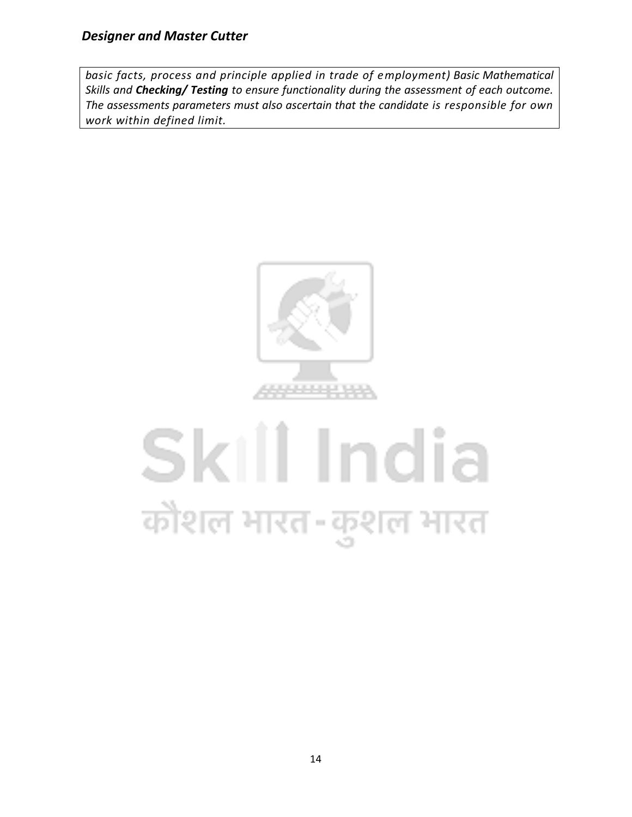*basic facts, process and principle applied in trade of employment) Basic Mathematical Skills and Checking/ Testing to ensure functionality during the assessment of each outcome. The assessments parameters must also ascertain that the candidate is responsible for own work within defined limit.*



## Skill India कोशल भारत-कुशल भारत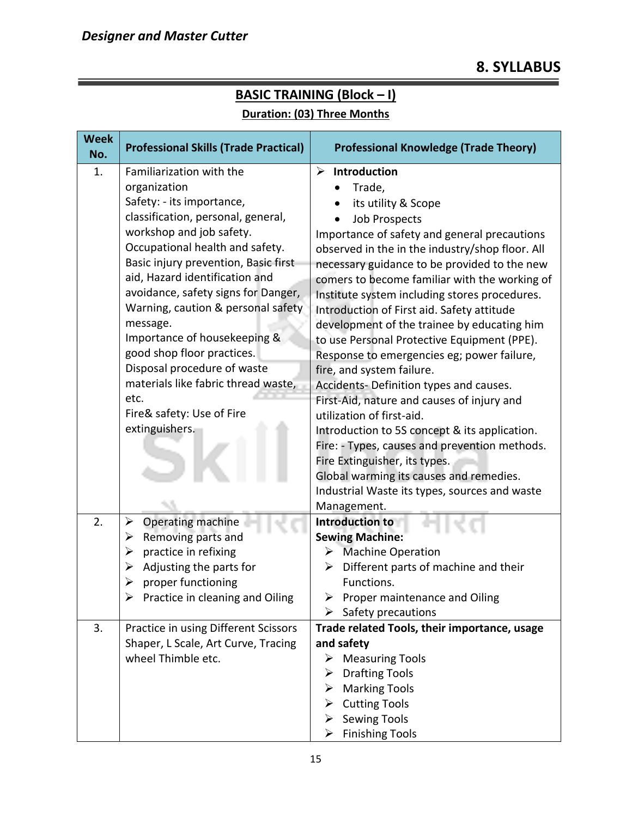| <b>Week</b><br>No. | <b>Professional Skills (Trade Practical)</b>      | <b>Professional Knowledge (Trade Theory)</b>     |
|--------------------|---------------------------------------------------|--------------------------------------------------|
| 1.                 | Familiarization with the                          | Introduction<br>➤                                |
|                    | organization                                      | Trade,                                           |
|                    | Safety: - its importance,                         | its utility & Scope                              |
|                    | classification, personal, general,                | <b>Job Prospects</b>                             |
|                    | workshop and job safety.                          | Importance of safety and general precautions     |
|                    | Occupational health and safety.                   | observed in the in the industry/shop floor. All  |
|                    | Basic injury prevention, Basic first              | necessary guidance to be provided to the new     |
|                    | aid, Hazard identification and                    | comers to become familiar with the working of    |
|                    | avoidance, safety signs for Danger,               | Institute system including stores procedures.    |
|                    | Warning, caution & personal safety                | Introduction of First aid. Safety attitude       |
|                    | message.                                          | development of the trainee by educating him      |
|                    | Importance of housekeeping &                      | to use Personal Protective Equipment (PPE).      |
|                    | good shop floor practices.                        | Response to emergencies eg; power failure,       |
|                    | Disposal procedure of waste                       | fire, and system failure.                        |
|                    | materials like fabric thread waste,               | Accidents- Definition types and causes.          |
|                    | etc.                                              | First-Aid, nature and causes of injury and       |
|                    | Fire& safety: Use of Fire                         | utilization of first-aid.                        |
|                    | extinguishers.                                    | Introduction to 5S concept & its application.    |
|                    |                                                   | Fire: - Types, causes and prevention methods.    |
|                    |                                                   | Fire Extinguisher, its types.                    |
|                    |                                                   | Global warming its causes and remedies.          |
|                    |                                                   | Industrial Waste its types, sources and waste    |
|                    |                                                   | Management.                                      |
| 2.                 | Operating machine<br>➤<br>Removing parts and<br>➤ | <b>Introduction to</b><br><b>Sewing Machine:</b> |
|                    | practice in refixing<br>➤                         | <b>Machine Operation</b><br>➤                    |
|                    | Adjusting the parts for<br>≻                      | Different parts of machine and their<br>➤        |
|                    | proper functioning<br>➤                           | Functions.                                       |
|                    | Practice in cleaning and Oiling<br>⋗              | Proper maintenance and Oiling<br>➤               |
|                    |                                                   | Safety precautions<br>➤                          |
| 3.                 | Practice in using Different Scissors              | Trade related Tools, their importance, usage     |
|                    | Shaper, L Scale, Art Curve, Tracing               | and safety                                       |
|                    | wheel Thimble etc.                                | <b>Measuring Tools</b>                           |
|                    |                                                   | <b>Drafting Tools</b><br>➤                       |
|                    |                                                   | <b>Marking Tools</b>                             |
|                    |                                                   | <b>Cutting Tools</b><br>➤                        |
|                    |                                                   | <b>Sewing Tools</b>                              |
|                    |                                                   | <b>Finishing Tools</b><br>➤                      |

## **BASIC TRAINING (Block – I) Duration: (03) Three Months**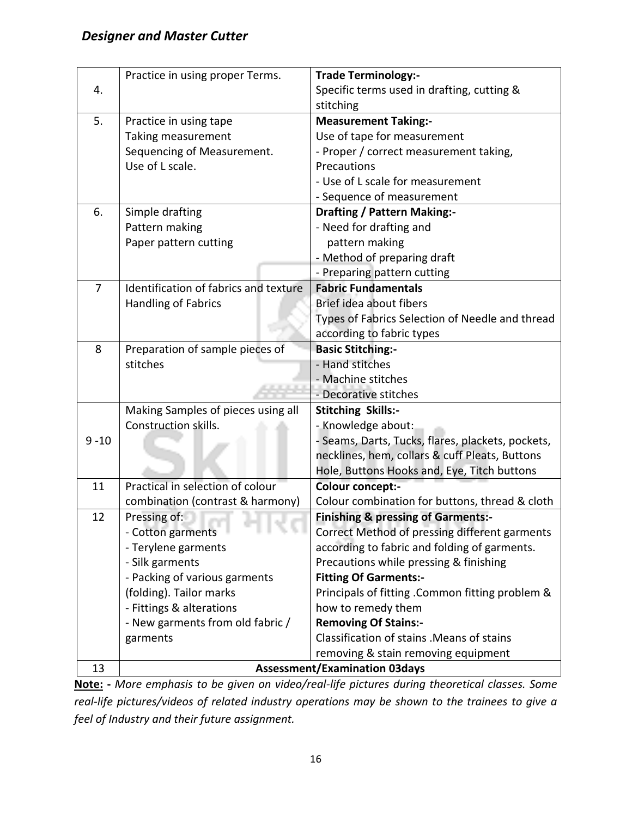|                | Practice in using proper Terms.       | <b>Trade Terminology:-</b>                        |  |  |  |  |
|----------------|---------------------------------------|---------------------------------------------------|--|--|--|--|
| 4.             |                                       | Specific terms used in drafting, cutting &        |  |  |  |  |
|                |                                       | stitching                                         |  |  |  |  |
| 5.             | Practice in using tape                | <b>Measurement Taking:-</b>                       |  |  |  |  |
|                | Taking measurement                    | Use of tape for measurement                       |  |  |  |  |
|                | Sequencing of Measurement.            | - Proper / correct measurement taking,            |  |  |  |  |
|                | Use of L scale.                       | Precautions                                       |  |  |  |  |
|                |                                       | - Use of L scale for measurement                  |  |  |  |  |
|                |                                       | - Sequence of measurement                         |  |  |  |  |
| 6.             | Simple drafting                       | <b>Drafting / Pattern Making:-</b>                |  |  |  |  |
|                | Pattern making                        | - Need for drafting and                           |  |  |  |  |
|                | Paper pattern cutting                 | pattern making                                    |  |  |  |  |
|                |                                       | - Method of preparing draft                       |  |  |  |  |
|                |                                       | - Preparing pattern cutting                       |  |  |  |  |
| $\overline{7}$ | Identification of fabrics and texture | <b>Fabric Fundamentals</b>                        |  |  |  |  |
|                | <b>Handling of Fabrics</b>            | Brief idea about fibers                           |  |  |  |  |
|                |                                       | Types of Fabrics Selection of Needle and thread   |  |  |  |  |
|                |                                       | according to fabric types                         |  |  |  |  |
| 8              | Preparation of sample pieces of       | <b>Basic Stitching:-</b>                          |  |  |  |  |
|                | stitches                              | - Hand stitches                                   |  |  |  |  |
|                |                                       | - Machine stitches                                |  |  |  |  |
|                |                                       | - Decorative stitches                             |  |  |  |  |
|                | Making Samples of pieces using all    | <b>Stitching Skills:-</b>                         |  |  |  |  |
|                | Construction skills.                  | - Knowledge about:                                |  |  |  |  |
| $9 - 10$       |                                       | - Seams, Darts, Tucks, flares, plackets, pockets, |  |  |  |  |
|                |                                       | necklines, hem, collars & cuff Pleats, Buttons    |  |  |  |  |
|                |                                       | Hole, Buttons Hooks and, Eye, Titch buttons       |  |  |  |  |
| 11             | Practical in selection of colour      | <b>Colour concept:-</b>                           |  |  |  |  |
|                | combination (contrast & harmony)      | Colour combination for buttons, thread & cloth    |  |  |  |  |
| 12             | Pressing of:                          | <b>Finishing &amp; pressing of Garments:-</b>     |  |  |  |  |
|                | - Cotton garments                     | Correct Method of pressing different garments     |  |  |  |  |
|                | - Terylene garments                   | according to fabric and folding of garments.      |  |  |  |  |
|                | - Silk garments                       | Precautions while pressing & finishing            |  |  |  |  |
|                | - Packing of various garments         | <b>Fitting Of Garments:-</b>                      |  |  |  |  |
|                | (folding). Tailor marks               | Principals of fitting .Common fitting problem &   |  |  |  |  |
|                | - Fittings & alterations              | how to remedy them                                |  |  |  |  |
|                | - New garments from old fabric /      | <b>Removing Of Stains:-</b>                       |  |  |  |  |
|                | garments                              | Classification of stains . Means of stains        |  |  |  |  |
|                |                                       | removing & stain removing equipment               |  |  |  |  |
| 13             |                                       | <b>Assessment/Examination 03days</b>              |  |  |  |  |

**Note: -** *More emphasis to be given on video/real-life pictures during theoretical classes. Some real-life pictures/videos of related industry operations may be shown to the trainees to give a feel of Industry and their future assignment.*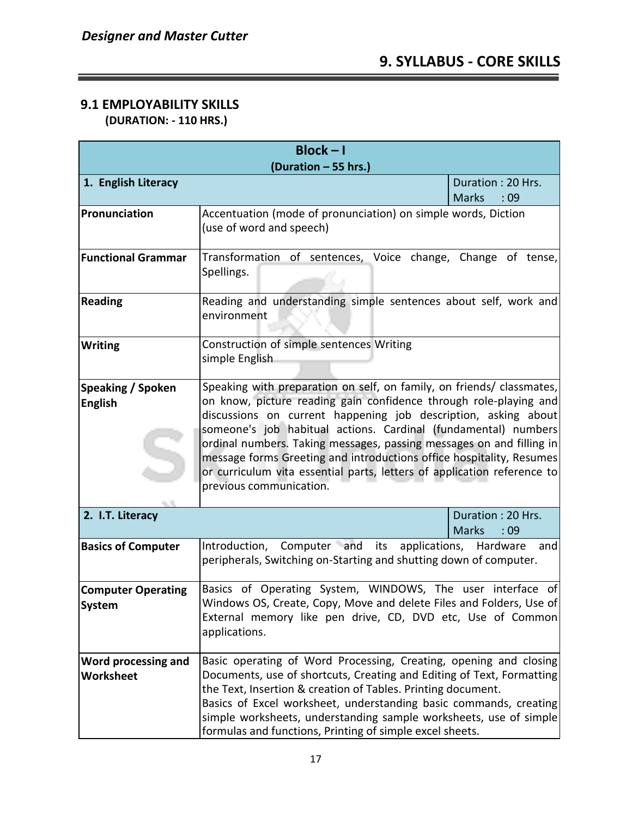## **9.1 EMPLOYABILITY SKILLS**

 **(DURATION: - 110 HRS.)**

| $Block - I$                                |                                                                                                                                                                                                                                                                                                                                                                                                                                                                                                                                      |                                          |  |  |  |  |  |  |  |
|--------------------------------------------|--------------------------------------------------------------------------------------------------------------------------------------------------------------------------------------------------------------------------------------------------------------------------------------------------------------------------------------------------------------------------------------------------------------------------------------------------------------------------------------------------------------------------------------|------------------------------------------|--|--|--|--|--|--|--|
| (Duration - 55 hrs.)                       |                                                                                                                                                                                                                                                                                                                                                                                                                                                                                                                                      |                                          |  |  |  |  |  |  |  |
| 1. English Literacy                        |                                                                                                                                                                                                                                                                                                                                                                                                                                                                                                                                      | Duration: 20 Hrs.<br><b>Marks</b><br>:09 |  |  |  |  |  |  |  |
| Pronunciation                              | Accentuation (mode of pronunciation) on simple words, Diction<br>(use of word and speech)                                                                                                                                                                                                                                                                                                                                                                                                                                            |                                          |  |  |  |  |  |  |  |
| <b>Functional Grammar</b>                  | Transformation of sentences, Voice change, Change of tense,<br>Spellings.                                                                                                                                                                                                                                                                                                                                                                                                                                                            |                                          |  |  |  |  |  |  |  |
| <b>Reading</b>                             | Reading and understanding simple sentences about self, work and<br>environment                                                                                                                                                                                                                                                                                                                                                                                                                                                       |                                          |  |  |  |  |  |  |  |
| <b>Writing</b>                             | Construction of simple sentences Writing<br>simple English                                                                                                                                                                                                                                                                                                                                                                                                                                                                           |                                          |  |  |  |  |  |  |  |
| Speaking / Spoken<br><b>English</b>        | Speaking with preparation on self, on family, on friends/ classmates,<br>on know, picture reading gain confidence through role-playing and<br>discussions on current happening job description, asking about<br>someone's job habitual actions. Cardinal (fundamental) numbers<br>ordinal numbers. Taking messages, passing messages on and filling in<br>message forms Greeting and introductions office hospitality, Resumes<br>or curriculum vita essential parts, letters of application reference to<br>previous communication. |                                          |  |  |  |  |  |  |  |
| 2. I.T. Literacy                           |                                                                                                                                                                                                                                                                                                                                                                                                                                                                                                                                      | Duration: 20 Hrs.<br><b>Marks</b><br>:09 |  |  |  |  |  |  |  |
| <b>Basics of Computer</b>                  | Introduction, Computer and its applications, Hardware and<br>peripherals, Switching on-Starting and shutting down of computer.                                                                                                                                                                                                                                                                                                                                                                                                       |                                          |  |  |  |  |  |  |  |
| <b>Computer Operating</b><br><b>System</b> | Basics of Operating System, WINDOWS, The user interface of<br>Windows OS, Create, Copy, Move and delete Files and Folders, Use of<br>External memory like pen drive, CD, DVD etc, Use of Common<br>applications.                                                                                                                                                                                                                                                                                                                     |                                          |  |  |  |  |  |  |  |
| Word processing and<br><b>Worksheet</b>    | Basic operating of Word Processing, Creating, opening and closing<br>Documents, use of shortcuts, Creating and Editing of Text, Formatting<br>the Text, Insertion & creation of Tables. Printing document.<br>Basics of Excel worksheet, understanding basic commands, creating<br>simple worksheets, understanding sample worksheets, use of simple<br>formulas and functions, Printing of simple excel sheets.                                                                                                                     |                                          |  |  |  |  |  |  |  |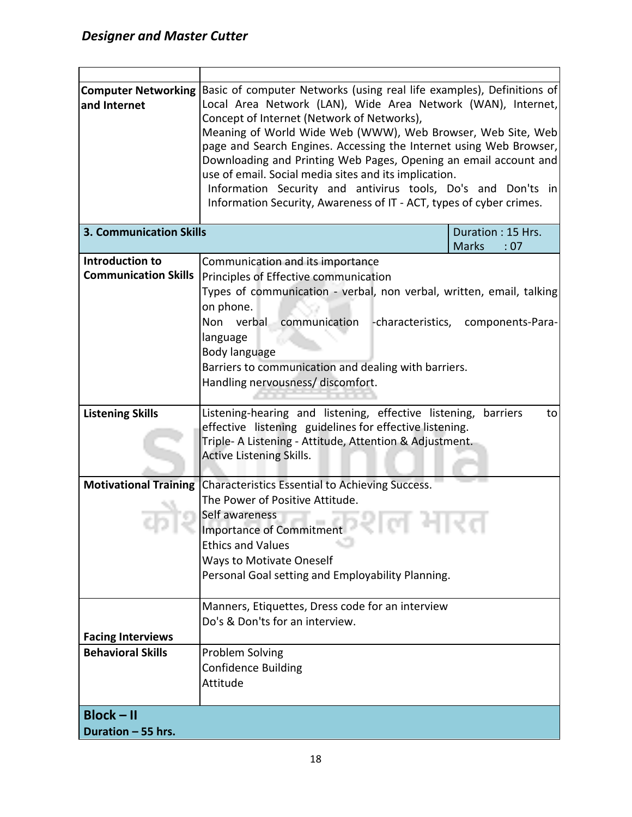|                                | Computer Networking Basic of computer Networks (using real life examples), Definitions of |                                                       |  |  |  |  |  |  |  |  |
|--------------------------------|-------------------------------------------------------------------------------------------|-------------------------------------------------------|--|--|--|--|--|--|--|--|
| and Internet                   | Local Area Network (LAN), Wide Area Network (WAN), Internet,                              |                                                       |  |  |  |  |  |  |  |  |
|                                | Concept of Internet (Network of Networks),                                                |                                                       |  |  |  |  |  |  |  |  |
|                                | Meaning of World Wide Web (WWW), Web Browser, Web Site, Web                               |                                                       |  |  |  |  |  |  |  |  |
|                                | page and Search Engines. Accessing the Internet using Web Browser,                        |                                                       |  |  |  |  |  |  |  |  |
|                                | Downloading and Printing Web Pages, Opening an email account and                          |                                                       |  |  |  |  |  |  |  |  |
|                                |                                                                                           | use of email. Social media sites and its implication. |  |  |  |  |  |  |  |  |
|                                | Information Security and antivirus tools, Do's and Don'ts in                              |                                                       |  |  |  |  |  |  |  |  |
|                                | Information Security, Awareness of IT - ACT, types of cyber crimes.                       |                                                       |  |  |  |  |  |  |  |  |
|                                |                                                                                           |                                                       |  |  |  |  |  |  |  |  |
| <b>3. Communication Skills</b> |                                                                                           | Duration: 15 Hrs.                                     |  |  |  |  |  |  |  |  |
|                                |                                                                                           | <b>Marks</b><br>:07                                   |  |  |  |  |  |  |  |  |
| Introduction to                | Communication and its importance                                                          |                                                       |  |  |  |  |  |  |  |  |
| <b>Communication Skills</b>    | Principles of Effective communication                                                     |                                                       |  |  |  |  |  |  |  |  |
|                                | Types of communication - verbal, non verbal, written, email, talking                      |                                                       |  |  |  |  |  |  |  |  |
|                                | on phone.                                                                                 |                                                       |  |  |  |  |  |  |  |  |
|                                | Non verbal<br>communication                                                               |                                                       |  |  |  |  |  |  |  |  |
|                                |                                                                                           | -characteristics, components-Para-                    |  |  |  |  |  |  |  |  |
|                                | language                                                                                  |                                                       |  |  |  |  |  |  |  |  |
|                                | Body language                                                                             |                                                       |  |  |  |  |  |  |  |  |
|                                | Barriers to communication and dealing with barriers.                                      |                                                       |  |  |  |  |  |  |  |  |
|                                | Handling nervousness/ discomfort.                                                         |                                                       |  |  |  |  |  |  |  |  |
|                                |                                                                                           |                                                       |  |  |  |  |  |  |  |  |
| <b>Listening Skills</b>        | Listening-hearing and listening, effective listening,<br>barriers<br>to                   |                                                       |  |  |  |  |  |  |  |  |
|                                | effective listening guidelines for effective listening.                                   |                                                       |  |  |  |  |  |  |  |  |
|                                | Triple- A Listening - Attitude, Attention & Adjustment.                                   |                                                       |  |  |  |  |  |  |  |  |
|                                | Active Listening Skills.                                                                  |                                                       |  |  |  |  |  |  |  |  |
|                                |                                                                                           |                                                       |  |  |  |  |  |  |  |  |
| <b>Motivational Training</b>   | Characteristics Essential to Achieving Success.                                           |                                                       |  |  |  |  |  |  |  |  |
|                                | The Power of Positive Attitude.                                                           |                                                       |  |  |  |  |  |  |  |  |
|                                | Self awareness                                                                            |                                                       |  |  |  |  |  |  |  |  |
|                                | Importance of Commitment                                                                  |                                                       |  |  |  |  |  |  |  |  |
|                                | <b>Ethics and Values</b>                                                                  |                                                       |  |  |  |  |  |  |  |  |
|                                | <b>Ways to Motivate Oneself</b>                                                           |                                                       |  |  |  |  |  |  |  |  |
|                                | Personal Goal setting and Employability Planning.                                         |                                                       |  |  |  |  |  |  |  |  |
|                                |                                                                                           |                                                       |  |  |  |  |  |  |  |  |
|                                |                                                                                           |                                                       |  |  |  |  |  |  |  |  |
|                                | Manners, Etiquettes, Dress code for an interview                                          |                                                       |  |  |  |  |  |  |  |  |
|                                | Do's & Don'ts for an interview.                                                           |                                                       |  |  |  |  |  |  |  |  |
| <b>Facing Interviews</b>       |                                                                                           |                                                       |  |  |  |  |  |  |  |  |
| <b>Behavioral Skills</b>       | Problem Solving                                                                           |                                                       |  |  |  |  |  |  |  |  |
|                                | <b>Confidence Building</b>                                                                |                                                       |  |  |  |  |  |  |  |  |
|                                | Attitude                                                                                  |                                                       |  |  |  |  |  |  |  |  |
|                                |                                                                                           |                                                       |  |  |  |  |  |  |  |  |
| $Block - II$                   |                                                                                           |                                                       |  |  |  |  |  |  |  |  |
| Duration - 55 hrs.             |                                                                                           |                                                       |  |  |  |  |  |  |  |  |
|                                |                                                                                           |                                                       |  |  |  |  |  |  |  |  |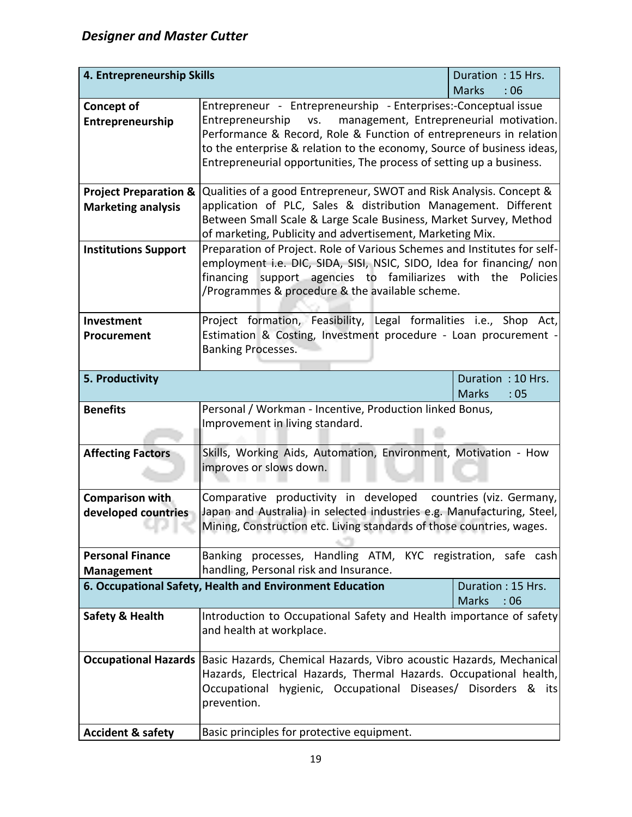| 4. Entrepreneurship Skills       |                                                                                                                                                  | Duration: 15 Hrs.                        |  |  |  |  |  |  |  |
|----------------------------------|--------------------------------------------------------------------------------------------------------------------------------------------------|------------------------------------------|--|--|--|--|--|--|--|
|                                  | <b>Marks</b><br>:06                                                                                                                              |                                          |  |  |  |  |  |  |  |
| <b>Concept of</b>                | Entrepreneur - Entrepreneurship - Enterprises:-Conceptual issue                                                                                  |                                          |  |  |  |  |  |  |  |
| Entrepreneurship                 | management, Entrepreneurial motivation.<br>Entrepreneurship vs.                                                                                  |                                          |  |  |  |  |  |  |  |
|                                  | Performance & Record, Role & Function of entrepreneurs in relation                                                                               |                                          |  |  |  |  |  |  |  |
|                                  | to the enterprise & relation to the economy, Source of business ideas,<br>Entrepreneurial opportunities, The process of setting up a business.   |                                          |  |  |  |  |  |  |  |
|                                  |                                                                                                                                                  |                                          |  |  |  |  |  |  |  |
| <b>Project Preparation &amp;</b> | Qualities of a good Entrepreneur, SWOT and Risk Analysis. Concept &                                                                              |                                          |  |  |  |  |  |  |  |
| <b>Marketing analysis</b>        | application of PLC, Sales & distribution Management. Different                                                                                   |                                          |  |  |  |  |  |  |  |
|                                  | Between Small Scale & Large Scale Business, Market Survey, Method                                                                                |                                          |  |  |  |  |  |  |  |
|                                  | of marketing, Publicity and advertisement, Marketing Mix.                                                                                        |                                          |  |  |  |  |  |  |  |
| <b>Institutions Support</b>      | Preparation of Project. Role of Various Schemes and Institutes for self-<br>employment i.e. DIC, SIDA, SISI, NSIC, SIDO, Idea for financing/ non |                                          |  |  |  |  |  |  |  |
|                                  | financing support agencies to familiarizes with                                                                                                  | the<br><b>Policies</b>                   |  |  |  |  |  |  |  |
|                                  | /Programmes & procedure & the available scheme.                                                                                                  |                                          |  |  |  |  |  |  |  |
|                                  |                                                                                                                                                  |                                          |  |  |  |  |  |  |  |
| Investment                       | Project formation, Feasibility, Legal formalities i.e., Shop Act,                                                                                |                                          |  |  |  |  |  |  |  |
| Procurement                      | Estimation & Costing, Investment procedure - Loan procurement -                                                                                  |                                          |  |  |  |  |  |  |  |
|                                  | <b>Banking Processes.</b>                                                                                                                        |                                          |  |  |  |  |  |  |  |
|                                  |                                                                                                                                                  |                                          |  |  |  |  |  |  |  |
| 5. Productivity                  |                                                                                                                                                  | Duration: 10 Hrs.                        |  |  |  |  |  |  |  |
|                                  |                                                                                                                                                  | <b>Marks</b><br>:05                      |  |  |  |  |  |  |  |
| <b>Benefits</b>                  |                                                                                                                                                  |                                          |  |  |  |  |  |  |  |
|                                  | Personal / Workman - Incentive, Production linked Bonus,                                                                                         |                                          |  |  |  |  |  |  |  |
|                                  | Improvement in living standard.                                                                                                                  |                                          |  |  |  |  |  |  |  |
|                                  |                                                                                                                                                  |                                          |  |  |  |  |  |  |  |
| <b>Affecting Factors</b>         | Skills, Working Aids, Automation, Environment, Motivation - How                                                                                  |                                          |  |  |  |  |  |  |  |
|                                  | improves or slows down.                                                                                                                          |                                          |  |  |  |  |  |  |  |
| Comparison with                  | Comparative productivity in developed countries (viz. Germany,                                                                                   |                                          |  |  |  |  |  |  |  |
| developed countries              | Japan and Australia) in selected industries e.g. Manufacturing, Steel,                                                                           |                                          |  |  |  |  |  |  |  |
|                                  | Mining, Construction etc. Living standards of those countries, wages.                                                                            |                                          |  |  |  |  |  |  |  |
|                                  |                                                                                                                                                  |                                          |  |  |  |  |  |  |  |
| <b>Personal Finance</b>          | Banking processes, Handling ATM, KYC registration, safe cash                                                                                     |                                          |  |  |  |  |  |  |  |
| <b>Management</b>                | handling, Personal risk and Insurance.                                                                                                           |                                          |  |  |  |  |  |  |  |
|                                  | 6. Occupational Safety, Health and Environment Education                                                                                         | Duration: 15 Hrs.<br><b>Marks</b><br>:06 |  |  |  |  |  |  |  |
| <b>Safety &amp; Health</b>       | Introduction to Occupational Safety and Health importance of safety                                                                              |                                          |  |  |  |  |  |  |  |
|                                  | and health at workplace.                                                                                                                         |                                          |  |  |  |  |  |  |  |
|                                  |                                                                                                                                                  |                                          |  |  |  |  |  |  |  |
| <b>Occupational Hazards</b>      | Basic Hazards, Chemical Hazards, Vibro acoustic Hazards, Mechanical                                                                              |                                          |  |  |  |  |  |  |  |
|                                  | Hazards, Electrical Hazards, Thermal Hazards. Occupational health,                                                                               |                                          |  |  |  |  |  |  |  |
|                                  | Occupational hygienic, Occupational Diseases/ Disorders & its                                                                                    |                                          |  |  |  |  |  |  |  |
|                                  | prevention.                                                                                                                                      |                                          |  |  |  |  |  |  |  |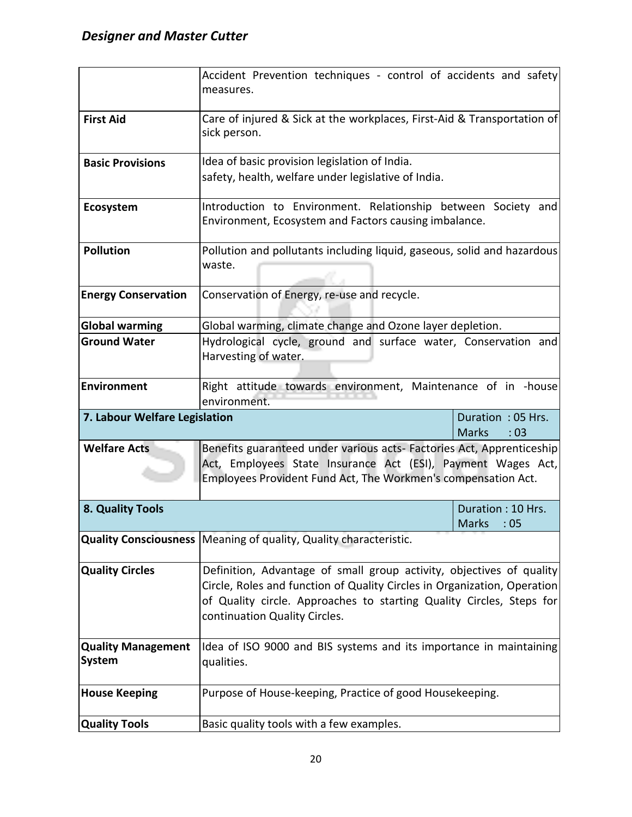|                                                                              | Accident Prevention techniques - control of accidents and safety                                                       |                     |  |  |  |  |  |  |
|------------------------------------------------------------------------------|------------------------------------------------------------------------------------------------------------------------|---------------------|--|--|--|--|--|--|
|                                                                              | measures.                                                                                                              |                     |  |  |  |  |  |  |
| <b>First Aid</b>                                                             | Care of injured & Sick at the workplaces, First-Aid & Transportation of                                                |                     |  |  |  |  |  |  |
|                                                                              | sick person.                                                                                                           |                     |  |  |  |  |  |  |
|                                                                              |                                                                                                                        |                     |  |  |  |  |  |  |
| <b>Basic Provisions</b>                                                      | Idea of basic provision legislation of India.                                                                          |                     |  |  |  |  |  |  |
|                                                                              | safety, health, welfare under legislative of India.                                                                    |                     |  |  |  |  |  |  |
|                                                                              |                                                                                                                        |                     |  |  |  |  |  |  |
| Ecosystem                                                                    | Introduction to Environment. Relationship between Society and<br>Environment, Ecosystem and Factors causing imbalance. |                     |  |  |  |  |  |  |
|                                                                              |                                                                                                                        |                     |  |  |  |  |  |  |
| <b>Pollution</b>                                                             | Pollution and pollutants including liquid, gaseous, solid and hazardous                                                |                     |  |  |  |  |  |  |
|                                                                              | waste.                                                                                                                 |                     |  |  |  |  |  |  |
|                                                                              |                                                                                                                        |                     |  |  |  |  |  |  |
| <b>Energy Conservation</b>                                                   | Conservation of Energy, re-use and recycle.                                                                            |                     |  |  |  |  |  |  |
| <b>Global warming</b>                                                        | Global warming, climate change and Ozone layer depletion.                                                              |                     |  |  |  |  |  |  |
| <b>Ground Water</b>                                                          | Hydrological cycle, ground and surface water, Conservation and                                                         |                     |  |  |  |  |  |  |
|                                                                              | Harvesting of water.                                                                                                   |                     |  |  |  |  |  |  |
| <b>Environment</b>                                                           |                                                                                                                        |                     |  |  |  |  |  |  |
| Right attitude towards environment, Maintenance of in -house<br>environment. |                                                                                                                        |                     |  |  |  |  |  |  |
| 7. Labour Welfare Legislation                                                |                                                                                                                        | Duration: 05 Hrs.   |  |  |  |  |  |  |
|                                                                              |                                                                                                                        | <b>Marks</b><br>:03 |  |  |  |  |  |  |
| <b>Welfare Acts</b>                                                          | Benefits guaranteed under various acts- Factories Act, Apprenticeship                                                  |                     |  |  |  |  |  |  |
|                                                                              | Act, Employees State Insurance Act (ESI), Payment Wages Act,                                                           |                     |  |  |  |  |  |  |
|                                                                              | Employees Provident Fund Act, The Workmen's compensation Act.                                                          |                     |  |  |  |  |  |  |
| 8. Quality Tools                                                             |                                                                                                                        | Duration: 10 Hrs.   |  |  |  |  |  |  |
|                                                                              |                                                                                                                        | <b>Marks</b><br>:05 |  |  |  |  |  |  |
|                                                                              | Quality Consciousness   Meaning of quality, Quality characteristic.                                                    |                     |  |  |  |  |  |  |
| <b>Quality Circles</b>                                                       | Definition, Advantage of small group activity, objectives of quality                                                   |                     |  |  |  |  |  |  |
|                                                                              | Circle, Roles and function of Quality Circles in Organization, Operation                                               |                     |  |  |  |  |  |  |
|                                                                              | of Quality circle. Approaches to starting Quality Circles, Steps for                                                   |                     |  |  |  |  |  |  |
|                                                                              | continuation Quality Circles.                                                                                          |                     |  |  |  |  |  |  |
|                                                                              |                                                                                                                        |                     |  |  |  |  |  |  |
| <b>Quality Management</b>                                                    | Idea of ISO 9000 and BIS systems and its importance in maintaining                                                     |                     |  |  |  |  |  |  |
| <b>System</b>                                                                | qualities.                                                                                                             |                     |  |  |  |  |  |  |
| <b>House Keeping</b>                                                         | Purpose of House-keeping, Practice of good Housekeeping.                                                               |                     |  |  |  |  |  |  |
|                                                                              |                                                                                                                        |                     |  |  |  |  |  |  |
| <b>Quality Tools</b>                                                         | Basic quality tools with a few examples.                                                                               |                     |  |  |  |  |  |  |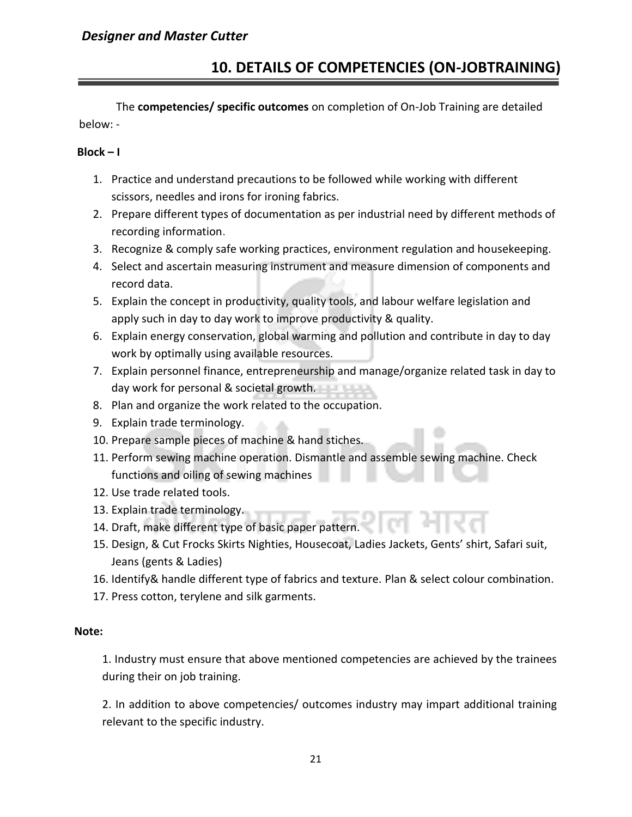## **10. DETAILS OF COMPETENCIES (ON-JOBTRAINING)**

The **competencies/ specific outcomes** on completion of On-Job Training are detailed below: -

#### **Block – I**

- 1. Practice and understand precautions to be followed while working with different scissors, needles and irons for ironing fabrics.
- 2. Prepare different types of documentation as per industrial need by different methods of recording information.
- 3. Recognize & comply safe working practices, environment regulation and housekeeping.
- 4. Select and ascertain measuring instrument and measure dimension of components and record data.
- 5. Explain the concept in productivity, quality tools, and labour welfare legislation and apply such in day to day work to improve productivity & quality.
- 6. Explain energy conservation, global warming and pollution and contribute in day to day work by optimally using available resources.
- 7. Explain personnel finance, entrepreneurship and manage/organize related task in day to day work for personal & societal growth.
- 8. Plan and organize the work related to the occupation.
- 9. Explain trade terminology.
- 10. Prepare sample pieces of machine & hand stiches.
- 11. Perform sewing machine operation. Dismantle and assemble sewing machine. Check functions and oiling of sewing machines
- 12. Use trade related tools.
- 13. Explain trade terminology.
- 14. Draft, make different type of basic paper pattern.
- 15. Design, & Cut Frocks Skirts Nighties, Housecoat, Ladies Jackets, Gents' shirt, Safari suit, Jeans (gents & Ladies)
- 16. Identify& handle different type of fabrics and texture. Plan & select colour combination.
- 17. Press cotton, terylene and silk garments.

#### **Note:**

1. Industry must ensure that above mentioned competencies are achieved by the trainees during their on job training.

2. In addition to above competencies/ outcomes industry may impart additional training relevant to the specific industry.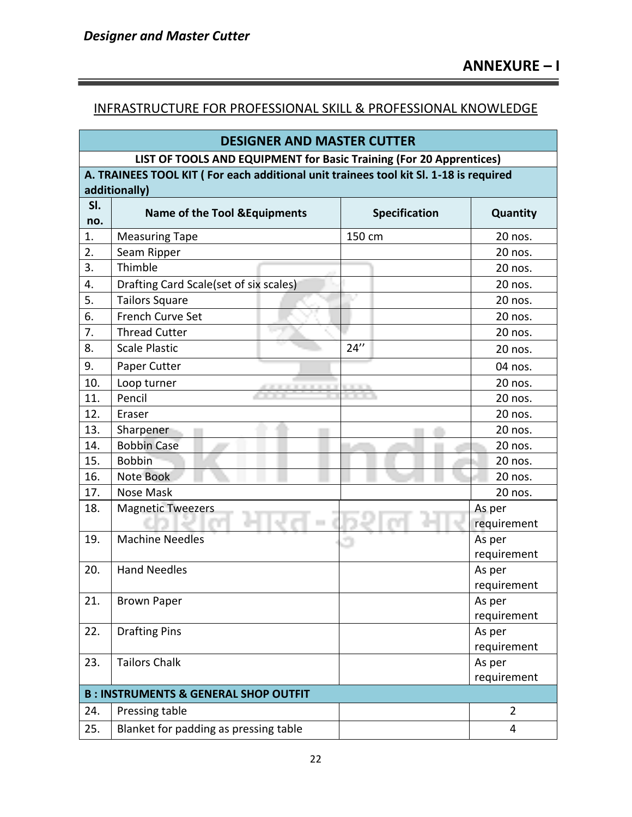## INFRASTRUCTURE FOR PROFESSIONAL SKILL & PROFESSIONAL KNOWLEDGE

| <b>DESIGNER AND MASTER CUTTER</b>                                                     |                                                 |                       |                |  |  |  |  |  |  |
|---------------------------------------------------------------------------------------|-------------------------------------------------|-----------------------|----------------|--|--|--|--|--|--|
| LIST OF TOOLS AND EQUIPMENT for Basic Training (For 20 Apprentices)                   |                                                 |                       |                |  |  |  |  |  |  |
| A. TRAINEES TOOL KIT (For each additional unit trainees tool kit Sl. 1-18 is required |                                                 |                       |                |  |  |  |  |  |  |
| additionally)                                                                         |                                                 |                       |                |  |  |  |  |  |  |
| SI.                                                                                   | <b>Name of the Tool &amp; Equipments</b>        | <b>Specification</b>  | Quantity       |  |  |  |  |  |  |
| no.                                                                                   |                                                 |                       |                |  |  |  |  |  |  |
| 1.                                                                                    | <b>Measuring Tape</b>                           | 150 cm                | 20 nos.        |  |  |  |  |  |  |
| 2.                                                                                    | Seam Ripper                                     |                       | 20 nos.        |  |  |  |  |  |  |
| 3.                                                                                    | Thimble                                         |                       | 20 nos.        |  |  |  |  |  |  |
| 4.                                                                                    | Drafting Card Scale(set of six scales)          |                       | 20 nos.        |  |  |  |  |  |  |
| 5.                                                                                    | <b>Tailors Square</b>                           |                       | 20 nos.        |  |  |  |  |  |  |
| 6.                                                                                    | French Curve Set                                |                       | 20 nos.        |  |  |  |  |  |  |
| 7.                                                                                    | <b>Thread Cutter</b>                            |                       | 20 nos.        |  |  |  |  |  |  |
| 8.                                                                                    | <b>Scale Plastic</b>                            | 24''                  | 20 nos.        |  |  |  |  |  |  |
| 9.                                                                                    | Paper Cutter                                    |                       | 04 nos.        |  |  |  |  |  |  |
| 10.                                                                                   | Loop turner                                     |                       | 20 nos.        |  |  |  |  |  |  |
| 11.                                                                                   | Pencil                                          |                       | 20 nos.        |  |  |  |  |  |  |
| 12.                                                                                   | Eraser                                          |                       | 20 nos.        |  |  |  |  |  |  |
| 13.                                                                                   | Sharpener                                       |                       | 20 nos.        |  |  |  |  |  |  |
| 14.                                                                                   | <b>Bobbin Case</b>                              |                       | 20 nos.        |  |  |  |  |  |  |
| 15.                                                                                   | <b>Bobbin</b>                                   |                       | 20 nos.        |  |  |  |  |  |  |
| 16.                                                                                   | Note Book                                       |                       | 20 nos.        |  |  |  |  |  |  |
| 17.                                                                                   | Nose Mask                                       |                       | 20 nos.        |  |  |  |  |  |  |
| 18.                                                                                   | <b>Magnetic Tweezers</b><br><b>COL</b>          | As per<br>requirement |                |  |  |  |  |  |  |
| 19.                                                                                   | <b>Machine Needles</b>                          |                       | As per         |  |  |  |  |  |  |
|                                                                                       |                                                 |                       | requirement    |  |  |  |  |  |  |
| 20.                                                                                   | <b>Hand Needles</b>                             |                       | As per         |  |  |  |  |  |  |
|                                                                                       |                                                 |                       | requirement    |  |  |  |  |  |  |
| 21.                                                                                   | <b>Brown Paper</b>                              |                       | As per         |  |  |  |  |  |  |
|                                                                                       |                                                 |                       | requirement    |  |  |  |  |  |  |
| 22.                                                                                   | <b>Drafting Pins</b>                            |                       | As per         |  |  |  |  |  |  |
|                                                                                       |                                                 |                       | requirement    |  |  |  |  |  |  |
| 23.                                                                                   | <b>Tailors Chalk</b>                            |                       | As per         |  |  |  |  |  |  |
|                                                                                       |                                                 |                       | requirement    |  |  |  |  |  |  |
|                                                                                       | <b>B: INSTRUMENTS &amp; GENERAL SHOP OUTFIT</b> |                       |                |  |  |  |  |  |  |
| 24.                                                                                   | Pressing table                                  |                       | $\overline{2}$ |  |  |  |  |  |  |
| 25.                                                                                   | Blanket for padding as pressing table           |                       | 4              |  |  |  |  |  |  |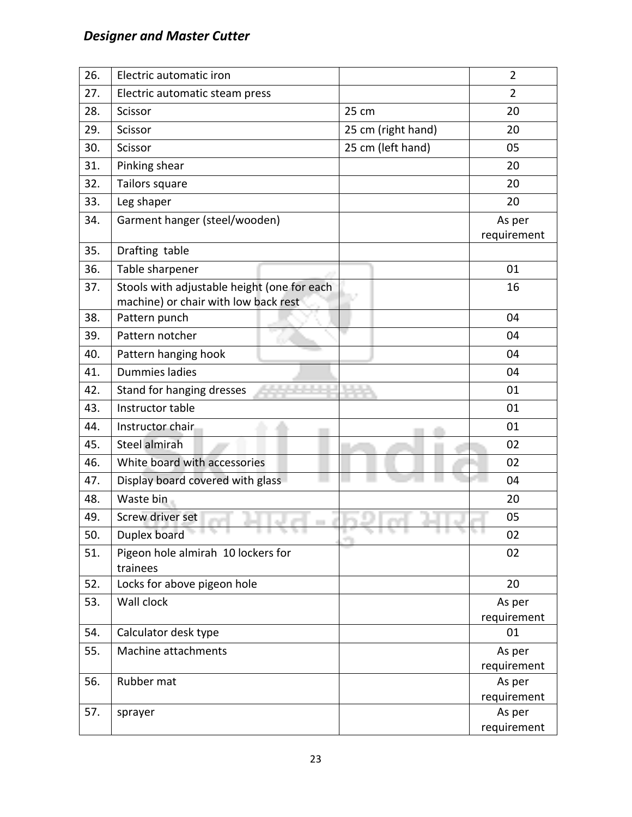| 26. | Electric automatic iron                                                             |                    | $\overline{2}$        |
|-----|-------------------------------------------------------------------------------------|--------------------|-----------------------|
| 27. | Electric automatic steam press                                                      |                    | $\overline{2}$        |
| 28. | Scissor                                                                             | 25 cm              | 20                    |
| 29. | Scissor                                                                             | 25 cm (right hand) | 20                    |
| 30. | Scissor                                                                             | 25 cm (left hand)  | 05                    |
| 31. | Pinking shear                                                                       |                    | 20                    |
| 32. | Tailors square                                                                      |                    | 20                    |
| 33. | Leg shaper                                                                          |                    | 20                    |
| 34. | Garment hanger (steel/wooden)                                                       |                    | As per<br>requirement |
| 35. | Drafting table                                                                      |                    |                       |
| 36. | Table sharpener                                                                     |                    | 01                    |
| 37. | Stools with adjustable height (one for each<br>machine) or chair with low back rest |                    | 16                    |
| 38. | Pattern punch                                                                       |                    | 04                    |
| 39. | Pattern notcher                                                                     |                    | 04                    |
| 40. | Pattern hanging hook                                                                |                    | 04                    |
| 41. | <b>Dummies ladies</b>                                                               |                    | 04                    |
| 42. | 医皮肤细胞炎<br>Stand for hanging dresses                                                 | <b>BUILDER</b>     | 01                    |
| 43. | Instructor table                                                                    |                    | 01                    |
| 44. | Instructor chair                                                                    |                    | 01                    |
| 45. | <b>Steel almirah</b>                                                                |                    | 02                    |
| 46. | White board with accessories                                                        |                    | 02                    |
| 47. | Display board covered with glass                                                    |                    | 04                    |
| 48. | Waste bin                                                                           |                    | 20                    |
| 49. | Screw driver set<br>a.<br>$\sim$                                                    |                    | 05                    |
| 50. | Duplex board<br>ъ<br>ъm                                                             | ÷.                 | T. L<br>02            |
| 51. | Pigeon hole almirah 10 lockers for<br>trainees                                      |                    | 02                    |
| 52. | Locks for above pigeon hole                                                         |                    | 20                    |
| 53. | Wall clock                                                                          |                    | As per<br>requirement |
| 54. | Calculator desk type                                                                |                    | 01                    |
| 55. | Machine attachments                                                                 |                    | As per                |
|     |                                                                                     |                    | requirement           |
| 56. | Rubber mat                                                                          |                    | As per                |
| 57. | sprayer                                                                             |                    | requirement<br>As per |
|     |                                                                                     |                    | requirement           |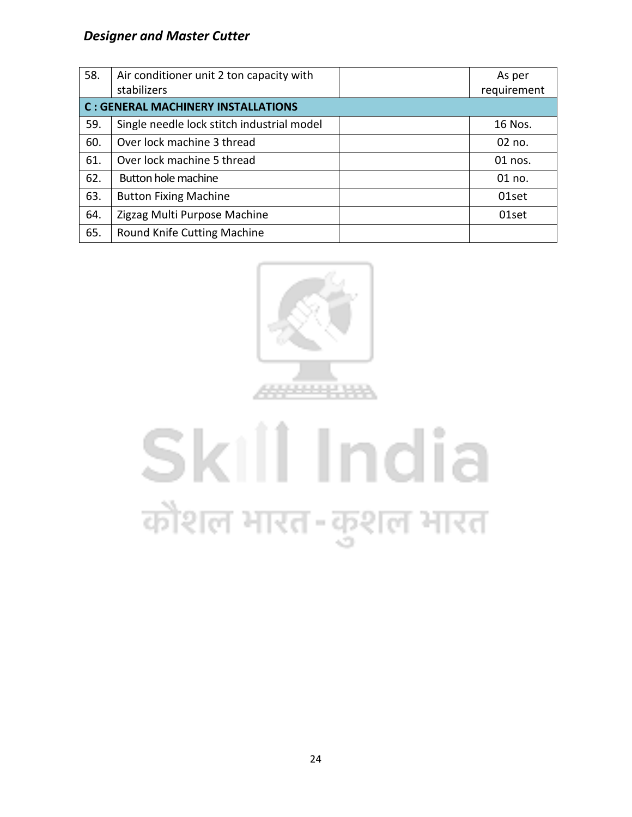| 58. | Air conditioner unit 2 ton capacity with   | As per      |
|-----|--------------------------------------------|-------------|
|     | stabilizers                                | requirement |
|     | <b>C: GENERAL MACHINERY INSTALLATIONS</b>  |             |
| 59. | Single needle lock stitch industrial model | 16 Nos.     |
| 60. | Over lock machine 3 thread                 | 02 no.      |
| 61. | Over lock machine 5 thread                 | 01 nos.     |
| 62. | Button hole machine                        | 01 no.      |
| 63. | <b>Button Fixing Machine</b>               | 01set       |
| 64. | Zigzag Multi Purpose Machine               | 01set       |
| 65. | Round Knife Cutting Machine                |             |



# Skill India कौशल भारत-कुशल भारत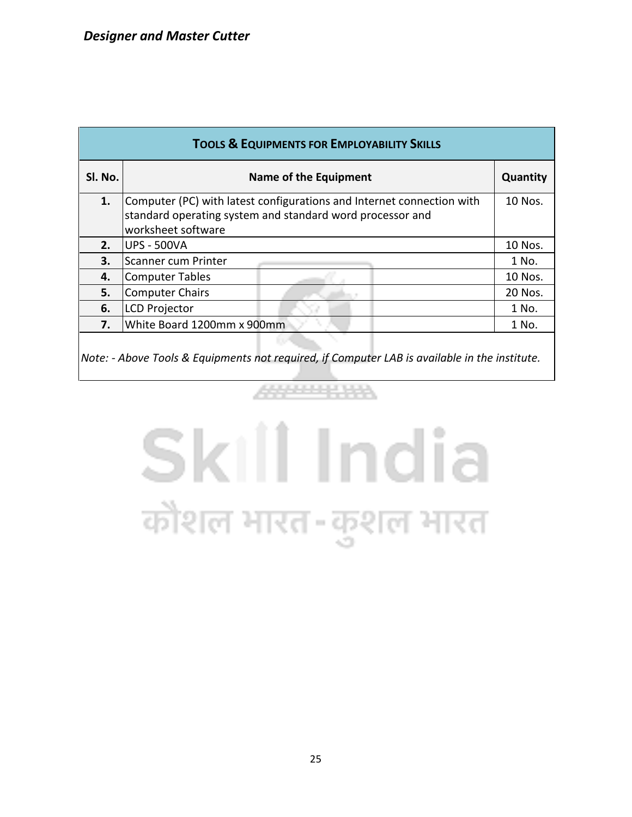| <b>TOOLS &amp; EQUIPMENTS FOR EMPLOYABILITY SKILLS</b> |                                                                                                                                                          |         |  |  |  |  |  |  |
|--------------------------------------------------------|----------------------------------------------------------------------------------------------------------------------------------------------------------|---------|--|--|--|--|--|--|
| SI. No.                                                | Name of the Equipment                                                                                                                                    |         |  |  |  |  |  |  |
| 1.                                                     | Computer (PC) with latest configurations and Internet connection with<br>standard operating system and standard word processor and<br>worksheet software |         |  |  |  |  |  |  |
| 2.                                                     | <b>UPS - 500VA</b>                                                                                                                                       |         |  |  |  |  |  |  |
| 3.                                                     | Scanner cum Printer                                                                                                                                      |         |  |  |  |  |  |  |
| 4.                                                     | <b>Computer Tables</b>                                                                                                                                   | 10 Nos. |  |  |  |  |  |  |
| 5.                                                     | <b>Computer Chairs</b>                                                                                                                                   | 20 Nos. |  |  |  |  |  |  |
| 6.                                                     | <b>LCD Projector</b>                                                                                                                                     |         |  |  |  |  |  |  |
| 7.                                                     | White Board 1200mm x 900mm                                                                                                                               | 1 No.   |  |  |  |  |  |  |
|                                                        |                                                                                                                                                          |         |  |  |  |  |  |  |

*Note: - Above Tools & Equipments not required, if Computer LAB is available in the institute.*

4444888888

# Skill India कौशल भारत-कुशल भारत